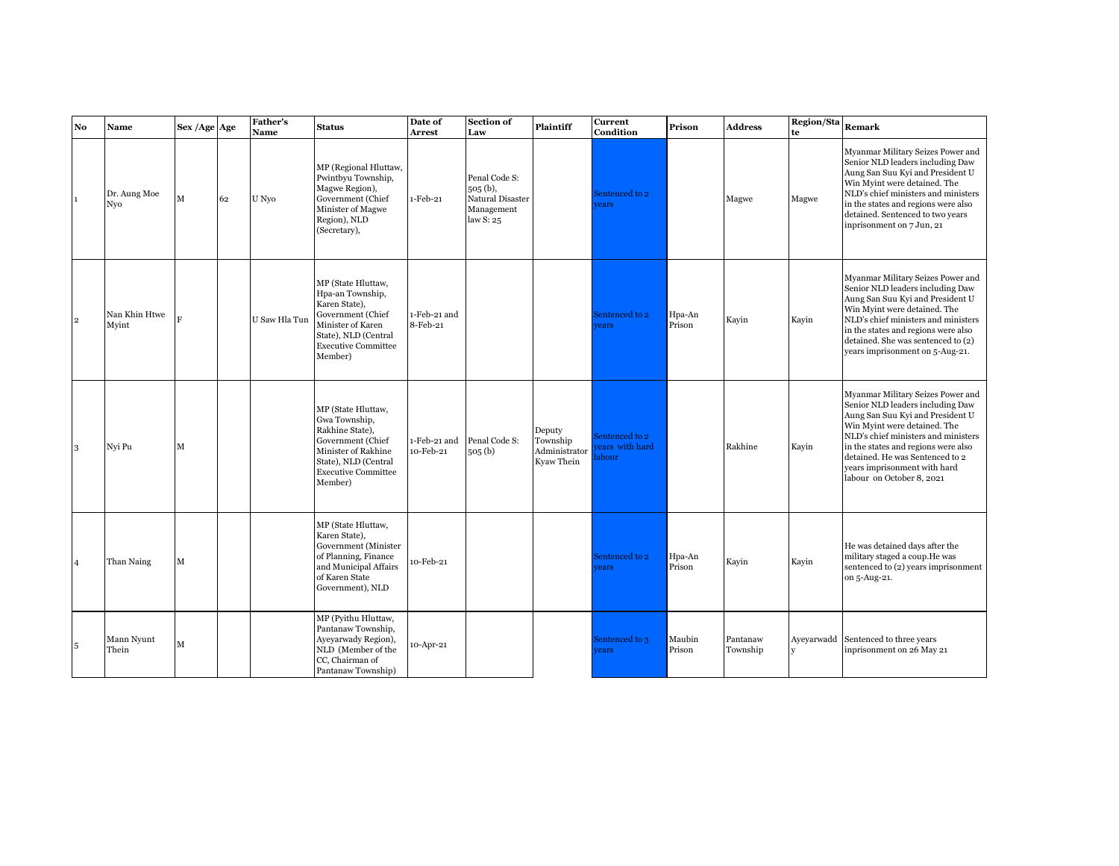| $\mathbf{N}\mathbf{o}$  | Name                       | Sex /Age Age |    | <b>Father's</b><br>Name | <b>Status</b>                                                                                                                                                       | Date of<br><b>Arrest</b>  | Section of<br>Law                                                        | Plaintiff                                         | Current<br>Condition                      | Prison           | <b>Address</b>       | <b>Region/Sta</b><br>te | <b>Remark</b>                                                                                                                                                                                                                                                                                                           |
|-------------------------|----------------------------|--------------|----|-------------------------|---------------------------------------------------------------------------------------------------------------------------------------------------------------------|---------------------------|--------------------------------------------------------------------------|---------------------------------------------------|-------------------------------------------|------------------|----------------------|-------------------------|-------------------------------------------------------------------------------------------------------------------------------------------------------------------------------------------------------------------------------------------------------------------------------------------------------------------------|
| $\mathbf{1}$            | Dr. Aung Moe<br><b>Nyo</b> | M            | 62 | U Nyo                   | MP (Regional Hluttaw,<br>Pwintbyu Township,<br>Magwe Region),<br>Government (Chief<br>Minister of Magwe<br>Region), NLD<br>(Secretary),                             | 1-Feb-21                  | Penal Code S:<br>505 (b),<br>Natural Disaster<br>Management<br>law S: 25 |                                                   | Sentenced to 2<br><b>rears</b>            |                  | Magwe                | Magwe                   | Myanmar Military Seizes Power and<br>Senior NLD leaders including Daw<br>Aung San Suu Kyi and President U<br>Win Myint were detained. The<br>NLD's chief ministers and ministers<br>in the states and regions were also<br>detained. Sentenced to two years<br>inprisonment on 7 Jun, 21                                |
| $\overline{\mathbf{2}}$ | Nan Khin Htwe<br>Myint     |              |    | U Saw Hla Tun           | MP (State Hluttaw,<br>Hpa-an Township,<br>Karen State),<br>Government (Chief<br>Minister of Karen<br>State), NLD (Central<br><b>Executive Committee</b><br>Member)  | 1-Feb-21 and<br>8-Feb-21  |                                                                          |                                                   | Sentenced to 2<br>rears                   | Hpa-An<br>Prison | Kayin                | Kayin                   | Myanmar Military Seizes Power and<br>Senior NLD leaders including Daw<br>Aung San Suu Kyi and President U<br>Win Myint were detained. The<br>NLD's chief ministers and ministers<br>in the states and regions were also<br>detained. She was sentenced to (2)<br>years imprisonment on 5-Aug-21.                        |
| 3                       | Nvi Pu                     | М            |    |                         | MP (State Hluttaw,<br>Gwa Township,<br>Rakhine State),<br>Government (Chief<br>Minister of Rakhine<br>State), NLD (Central<br><b>Executive Committee</b><br>Member) | 1-Feb-21 and<br>10-Feb-21 | Penal Code S:<br>505(b)                                                  | Deputy<br>Township<br>Administrator<br>Kvaw Thein | Sentenced to 2<br>ears with hard<br>abour |                  | Rakhine              | Kavin                   | Myanmar Military Seizes Power and<br>Senior NLD leaders including Daw<br>Aung San Suu Kyi and President U<br>Win Myint were detained. The<br>NLD's chief ministers and ministers<br>in the states and regions were also<br>detained. He was Sentenced to 2<br>years imprisonment with hard<br>labour on October 8, 2021 |
| $\overline{4}$          | Than Naing                 | М            |    |                         | MP (State Hluttaw,<br>Karen State),<br>Government (Minister<br>of Planning, Finance<br>and Municipal Affairs<br>of Karen State<br>Government), NLD                  | 10-Feb-21                 |                                                                          |                                                   | Sentenced to 2<br><b>rears</b>            | Hpa-An<br>Prison | Kayin                | Kayin                   | He was detained days after the<br>military staged a coup. He was<br>sentenced to (2) years imprisonment<br>on 5-Aug-21.                                                                                                                                                                                                 |
| 5                       | Mann Nyunt<br>Thein        | M            |    |                         | MP (Pyithu Hluttaw,<br>Pantanaw Township,<br>Ayeyarwady Region),<br>NLD (Member of the<br>CC. Chairman of<br>Pantanaw Township)                                     | 10-Apr-21                 |                                                                          |                                                   | Sentenced to 3<br>rears                   | Maubin<br>Prison | Pantanaw<br>Township | V                       | Ayeyarwadd Sentenced to three years<br>inprisonment on 26 May 21                                                                                                                                                                                                                                                        |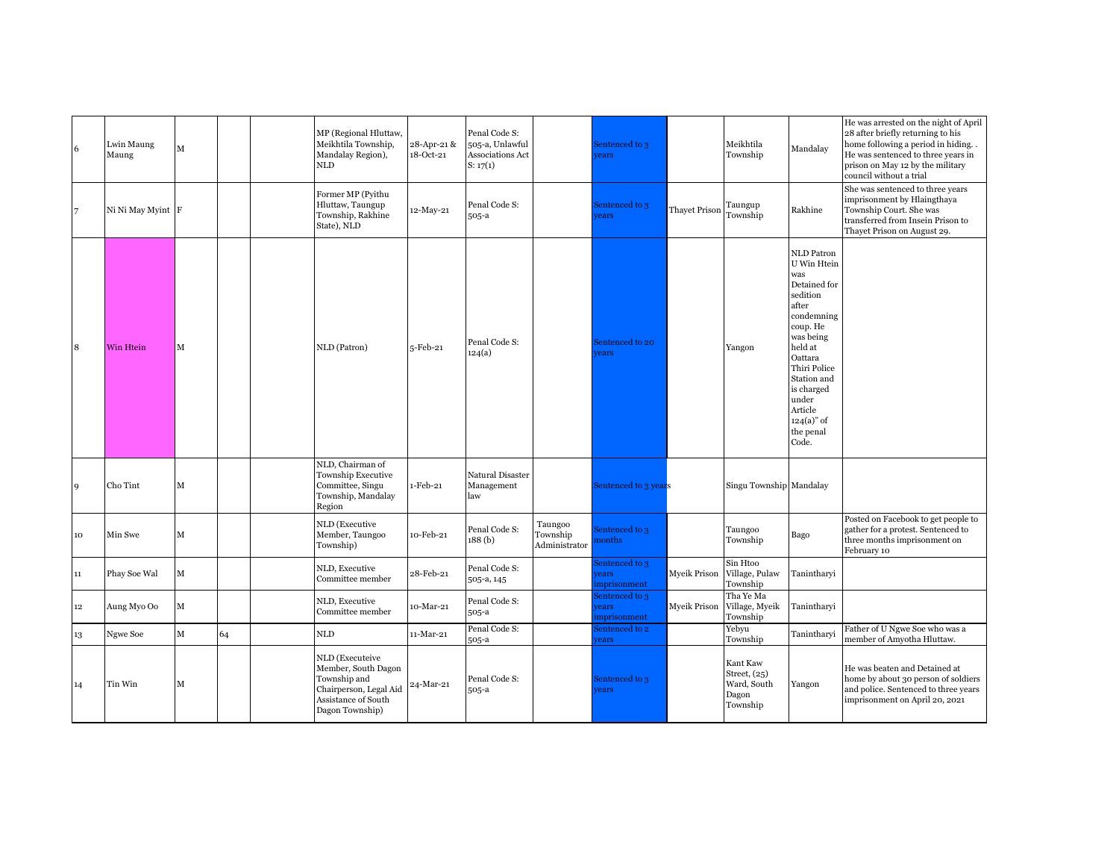| 6              | Lwin Maung<br>Maung | М |    | MP (Regional Hluttaw,<br>Meikhtila Township,<br>Mandalay Region),<br><b>NLD</b>                                            | 28-Apr-21 &<br>18-Oct-21 | Penal Code S:<br>505-a, Unlawful<br>Associations Act<br>S: 17(1) |                                      | Sentenced to 3<br>rears                       |                      | Meikhtila<br>Township                                        | Mandalay                                                                                                                                                                                                                                   | He was arrested on the night of April<br>28 after briefly returning to his<br>home following a period in hiding. .<br>He was sentenced to three years in<br>prison on May 12 by the military<br>council without a trial |
|----------------|---------------------|---|----|----------------------------------------------------------------------------------------------------------------------------|--------------------------|------------------------------------------------------------------|--------------------------------------|-----------------------------------------------|----------------------|--------------------------------------------------------------|--------------------------------------------------------------------------------------------------------------------------------------------------------------------------------------------------------------------------------------------|-------------------------------------------------------------------------------------------------------------------------------------------------------------------------------------------------------------------------|
| 7              | Ni Ni May Myint F   |   |    | Former MP (Pyithu<br>Hluttaw, Taungup<br>Township, Rakhine<br>State), NLD                                                  | 12-May-21                | Penal Code S:<br>505-a                                           |                                      | Sentenced to 3<br><b>rears</b>                | <b>Thayet Prison</b> | Taungup<br>Township                                          | Rakhine                                                                                                                                                                                                                                    | She was sentenced to three years<br>imprisonment by Hlaingthaya<br>Township Court. She was<br>transferred from Insein Prison to<br>Thayet Prison on August 29.                                                          |
| 8              | <b>Win Htein</b>    | М |    | NLD (Patron)                                                                                                               | 5-Feb-21                 | Penal Code S:<br>124(a)                                          |                                      | Sentenced to 20<br>ears                       |                      | Yangon                                                       | NLD Patron<br>U Win Htein<br>was<br>Detained for<br>sedition<br>after<br>condemning<br>coup. He<br>was being<br>held at<br>Oattara<br>Thiri Police<br>Station and<br>is charged<br>under<br>Article<br>$124(a)$ " of<br>the penal<br>Code. |                                                                                                                                                                                                                         |
| $\overline{9}$ | Cho Tint            | M |    | NLD, Chairman of<br><b>Township Executive</b><br>Committee, Singu<br>Township, Mandalay<br>Region                          | 1-Feb-21                 | Natural Disaster<br>Management<br>law                            |                                      | Sentenced to 3 years                          |                      | Singu Township Mandalay                                      |                                                                                                                                                                                                                                            |                                                                                                                                                                                                                         |
| 10             | Min Swe             | M |    | NLD (Executive<br>Member, Taungoo<br>Township)                                                                             | 10-Feb-21                | Penal Code S:<br>188(b)                                          | Taungoo<br>Township<br>Administrator | Sentenced to 3<br>months                      |                      | Taungoo<br>Township                                          | Bago                                                                                                                                                                                                                                       | Posted on Facebook to get people to<br>gather for a protest. Sentenced to<br>three months imprisonment on<br>February 10                                                                                                |
| $11\,$         | Phay Soe Wal        | М |    | NLD. Executive<br>Committee member                                                                                         | 28-Feb-21                | Penal Code S:<br>505-a, 145                                      |                                      | Sentenced to 3<br>ears<br>mprisonment         | Myeik Prison         | Sin Htoo<br>Village, Pulaw<br>Township                       | Tanintharyi                                                                                                                                                                                                                                |                                                                                                                                                                                                                         |
| $12 \,$        | Aung Myo Oo         | М |    | NLD, Executive<br>Committee member                                                                                         | 10-Mar-21                | Penal Code S:<br>505-a                                           |                                      | Sentenced to 3<br><b>rears</b><br>mprisonment | Myeik Prison         | Tha Ye Ma<br>Village, Myeik<br>Township                      | Tanintharvi                                                                                                                                                                                                                                |                                                                                                                                                                                                                         |
| 13             | Ngwe Soe            | M | 64 | <b>NLD</b>                                                                                                                 | 11-Mar-21                | Penal Code S:<br>505-a                                           |                                      | Sentenced to 2<br>ears                        |                      | Yebyu<br>Township                                            | Tanintharyi                                                                                                                                                                                                                                | Father of U Ngwe Soe who was a<br>member of Amyotha Hluttaw.                                                                                                                                                            |
| 14             | Tin Win             | М |    | NLD (Executeive<br>Member, South Dagon<br>Township and<br>Chairperson, Legal Aid<br>Assistance of South<br>Dagon Township) | 24-Mar-21                | Penal Code S:<br>505-a                                           |                                      | Sentenced to 3<br>ears                        |                      | Kant Kaw<br>Street, (25)<br>Ward, South<br>Dagon<br>Township | Yangon                                                                                                                                                                                                                                     | He was beaten and Detained at<br>home by about 30 person of soldiers<br>and police. Sentenced to three years<br>imprisonment on April 20, 2021                                                                          |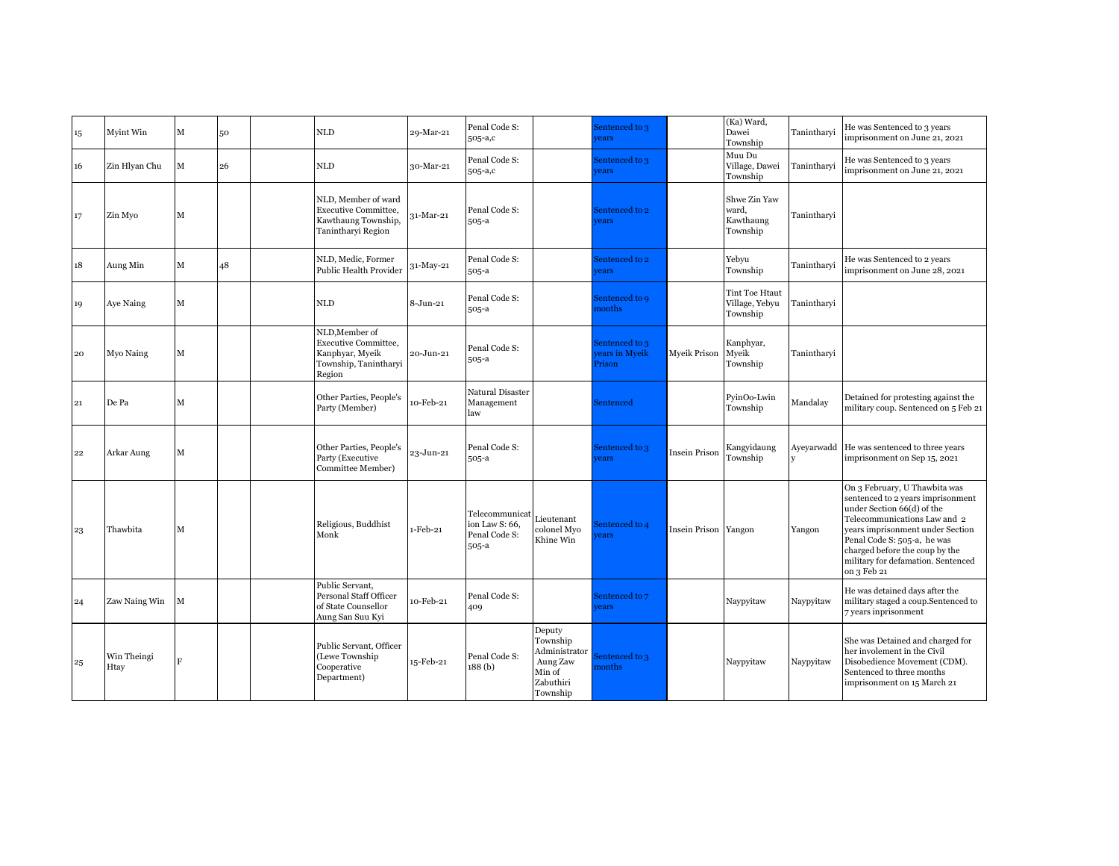| 15      | Myint Win           | M | 50 | <b>NLD</b>                                                                                   | 29-Mar-21     | Penal Code S:<br>505-a,c                                   |                                                                                    | Sentenced to 3<br><i>rears</i>            |                      | (Ka) Ward,<br>Dawei<br>Township                | Tanintharvi                | He was Sentenced to 3 years<br>imprisonment on June 21, 2021                                                                                                                                                                                                                               |
|---------|---------------------|---|----|----------------------------------------------------------------------------------------------|---------------|------------------------------------------------------------|------------------------------------------------------------------------------------|-------------------------------------------|----------------------|------------------------------------------------|----------------------------|--------------------------------------------------------------------------------------------------------------------------------------------------------------------------------------------------------------------------------------------------------------------------------------------|
| 16      | Zin Hlyan Chu       | М | 26 | $\mbox{NLD}$                                                                                 | 30-Mar-21     | Penal Code S:<br>505-a,c                                   |                                                                                    | Sentenced to 3<br>vears                   |                      | Muu Du<br>Village, Dawei<br>Township           | Tanintharvi                | He was Sentenced to 3 years<br>imprisonment on June 21, 2021                                                                                                                                                                                                                               |
| 17      | Zin Myo             | M |    | NLD, Member of ward<br>Executive Committee,<br>Kawthaung Township,<br>Tanintharyi Region     | 31-Mar-21     | Penal Code S:<br>505-a                                     |                                                                                    | Sentenced to 2<br>ears                    |                      | Shwe Zin Yaw<br>ward.<br>Kawthaung<br>Township | Tanintharvi                |                                                                                                                                                                                                                                                                                            |
| 18      | Aung Min            | M | 48 | NLD, Medic, Former<br>Public Health Provider                                                 | 31-May-21     | Penal Code S:<br>505-a                                     |                                                                                    | Sentenced to 2<br>rears                   |                      | Yebyu<br>Township                              | Tanintharvi                | He was Sentenced to 2 years<br>imprisonment on June 28, 2021                                                                                                                                                                                                                               |
| 19      | Aye Naing           | M |    | <b>NLD</b>                                                                                   | 8-Jun-21      | Penal Code S:<br>505-a                                     |                                                                                    | Sentenced to 9<br>nonths                  |                      | Tint Toe Htaut<br>Village, Yebyu<br>Township   | Tanintharyi                |                                                                                                                                                                                                                                                                                            |
| 20      | Myo Naing           | M |    | NLD, Member of<br>Executive Committee,<br>Kanphyar, Myeik<br>Township, Tanintharyi<br>Region | 20-Jun-21     | Penal Code S:<br>505-a                                     |                                                                                    | Sentenced to 3<br>ears in Myeik<br>Prison | Myeik Prison         | Kanphyar,<br>Myeik<br>Township                 | Tanintharvi                |                                                                                                                                                                                                                                                                                            |
| 21      | De Pa               | М |    | Other Parties, People's<br>Party (Member)                                                    | 10-Feb-21     | Natural Disaster<br>Management<br>law                      |                                                                                    | Sentenced                                 |                      | PyinOo-Lwin<br>Township                        | Mandalay                   | Detained for protesting against the<br>military coup. Sentenced on 5 Feb 21                                                                                                                                                                                                                |
| $^{22}$ | Arkar Aung          | M |    | Other Parties, People's<br>Party (Executive<br>Committee Member)                             | $23 - Jun-21$ | Penal Code S:<br>505-a                                     |                                                                                    | Sentenced to 3<br>ears                    | <b>Insein Prison</b> | Kangyidaung<br>Township                        | Ayeyarwadd<br>$\mathbf{v}$ | He was sentenced to three years<br>imprisonment on Sep 15, 2021                                                                                                                                                                                                                            |
| 23      | Thawbita            | M |    | Religious, Buddhist<br>Monk                                                                  | 1-Feb-21      | Telecommunicat<br>ion Law S: 66,<br>Penal Code S:<br>505-a | Lieutenant<br>colonel Myo<br>Khine Win                                             | Sentenced to 4<br>ears                    | Insein Prison Yangon |                                                | Yangon                     | On 3 February, U Thawbita was<br>sentenced to 2 years imprisonment<br>under Section 66(d) of the<br>Telecommunications Law and 2<br>years imprisonment under Section<br>Penal Code S: 505-a, he was<br>charged before the coup by the<br>military for defamation. Sentenced<br>on 3 Feb 21 |
| 24      | Zaw Naing Win       | М |    | Public Servant.<br>Personal Staff Officer<br>of State Counsellor<br>Aung San Suu Kyi         | 10-Feb-21     | Penal Code S:<br>409                                       |                                                                                    | Sentenced to 7<br>rears                   |                      | Naypyitaw                                      | Naypyitaw                  | He was detained days after the<br>military staged a coup.Sentenced to<br>7 years inprisonment                                                                                                                                                                                              |
| 25      | Win Theingi<br>Htay | R |    | Public Servant, Officer<br>(Lewe Township<br>Cooperative<br>Department)                      | 15-Feb-21     | Penal Code S:<br>188(b)                                    | Deputy<br>Township<br>Administrator<br>Aung Zaw<br>Min of<br>Zabuthiri<br>Township | Sentenced to 3<br>nonths                  |                      | Naypyitaw                                      | Naypyitaw                  | She was Detained and charged for<br>her involement in the Civil<br>Disobedience Movement (CDM).<br>Sentenced to three months<br>imprisonment on 15 March 21                                                                                                                                |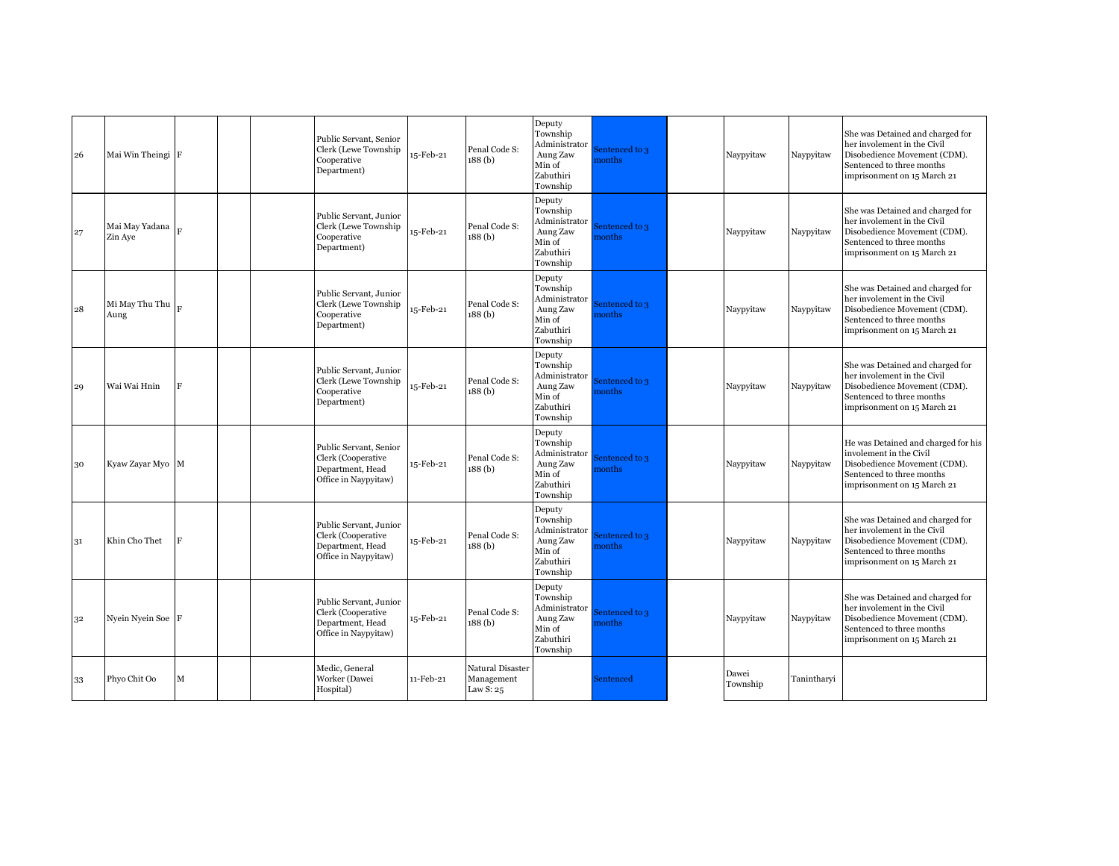| 26 | Mai Win Theingi F         |    |  | Public Servant, Senior<br>Clerk (Lewe Township<br>Cooperative<br>Department)             | 15-Feb-21 | Penal Code S:<br>188 (b)                    | Deputy<br>Township<br>Administrator<br>Aung Zaw<br>Min of<br>Zabuthiri<br>Township | Sentenced to 3<br>nonths | Naypyitaw         | Naypyitaw   | She was Detained and charged for<br>her involement in the Civil<br>Disobedience Movement (CDM).<br>Sentenced to three months<br>imprisonment on 15 March 21 |
|----|---------------------------|----|--|------------------------------------------------------------------------------------------|-----------|---------------------------------------------|------------------------------------------------------------------------------------|--------------------------|-------------------|-------------|-------------------------------------------------------------------------------------------------------------------------------------------------------------|
| 27 | Mai May Yadana<br>Zin Aye |    |  | Public Servant, Junior<br>Clerk (Lewe Township<br>Cooperative<br>Department)             | 15-Feb-21 | Penal Code S:<br>188(b)                     | Deputy<br>Township<br>Administrator<br>Aung Zaw<br>Min of<br>Zabuthiri<br>Township | Sentenced to 3<br>nonths | Naypyitaw         | Naypyitaw   | She was Detained and charged for<br>her involement in the Civil<br>Disobedience Movement (CDM).<br>Sentenced to three months<br>imprisonment on 15 March 21 |
| 28 | Mi May Thu Thu<br>Aung    |    |  | Public Servant, Junior<br>Clerk (Lewe Township<br>Cooperative<br>Department)             | 15-Feb-21 | Penal Code S:<br>188 (b)                    | Deputy<br>Township<br>Administrator<br>Aung Zaw<br>Min of<br>Zabuthiri<br>Township | Sentenced to 3<br>nonths | Naypyitaw         | Naypyitaw   | She was Detained and charged for<br>her involement in the Civil<br>Disobedience Movement (CDM).<br>Sentenced to three months<br>imprisonment on 15 March 21 |
| 29 | Wai Wai Hnin              | IF |  | Public Servant, Junior<br>Clerk (Lewe Township<br>Cooperative<br>Department)             | 15-Feb-21 | Penal Code S:<br>188(b)                     | Deputy<br>Township<br>Administrator<br>Aung Zaw<br>Min of<br>Zabuthiri<br>Township | Sentenced to 3<br>nonths | Naypyitaw         | Naypyitaw   | She was Detained and charged for<br>her involement in the Civil<br>Disobedience Movement (CDM).<br>Sentenced to three months<br>imprisonment on 15 March 21 |
| 30 | Kyaw Zayar Myo M          |    |  | Public Servant, Senior<br>Clerk (Cooperative<br>Department, Head<br>Office in Naypyitaw) | 15-Feb-21 | Penal Code S:<br>188 (b)                    | Deputy<br>Township<br>Administrator<br>Aung Zaw<br>Min of<br>Zabuthiri<br>Township | Sentenced to 3<br>nonths | Naypyitaw         | Naypyitaw   | He was Detained and charged for his<br>involement in the Civil<br>Disobedience Movement (CDM).<br>Sentenced to three months<br>imprisonment on 15 March 21  |
| 31 | Khin Cho Thet             | ١F |  | Public Servant, Junior<br>Clerk (Cooperative<br>Department, Head<br>Office in Naypyitaw) | 15-Feb-21 | Penal Code S:<br>188 (b)                    | Deputy<br>Township<br>Administrator<br>Aung Zaw<br>Min of<br>Zabuthiri<br>Township | Sentenced to 3<br>nonths | Naypyitaw         | Naypyitaw   | She was Detained and charged for<br>her involement in the Civil<br>Disobedience Movement (CDM).<br>Sentenced to three months<br>imprisonment on 15 March 21 |
| 32 | Nyein Nyein Soe           |    |  | Public Servant, Junior<br>Clerk (Cooperative<br>Department, Head<br>Office in Naypyitaw) | 15-Feb-21 | Penal Code S:<br>188 (b)                    | Deputy<br>Township<br>Administrator<br>Aung Zaw<br>Min of<br>Zabuthiri<br>Township | Sentenced to 3<br>nonths | Naypyitaw         | Naypyitaw   | She was Detained and charged for<br>her involement in the Civil<br>Disobedience Movement (CDM).<br>Sentenced to three months<br>imprisonment on 15 March 21 |
| 33 | Phyo Chit Oo              | M  |  | Medic, General<br>Worker (Dawei<br>Hospital)                                             | 11-Feb-21 | Natural Disaster<br>Management<br>Law S: 25 |                                                                                    | Sentenced                | Dawei<br>Township | Tanintharvi |                                                                                                                                                             |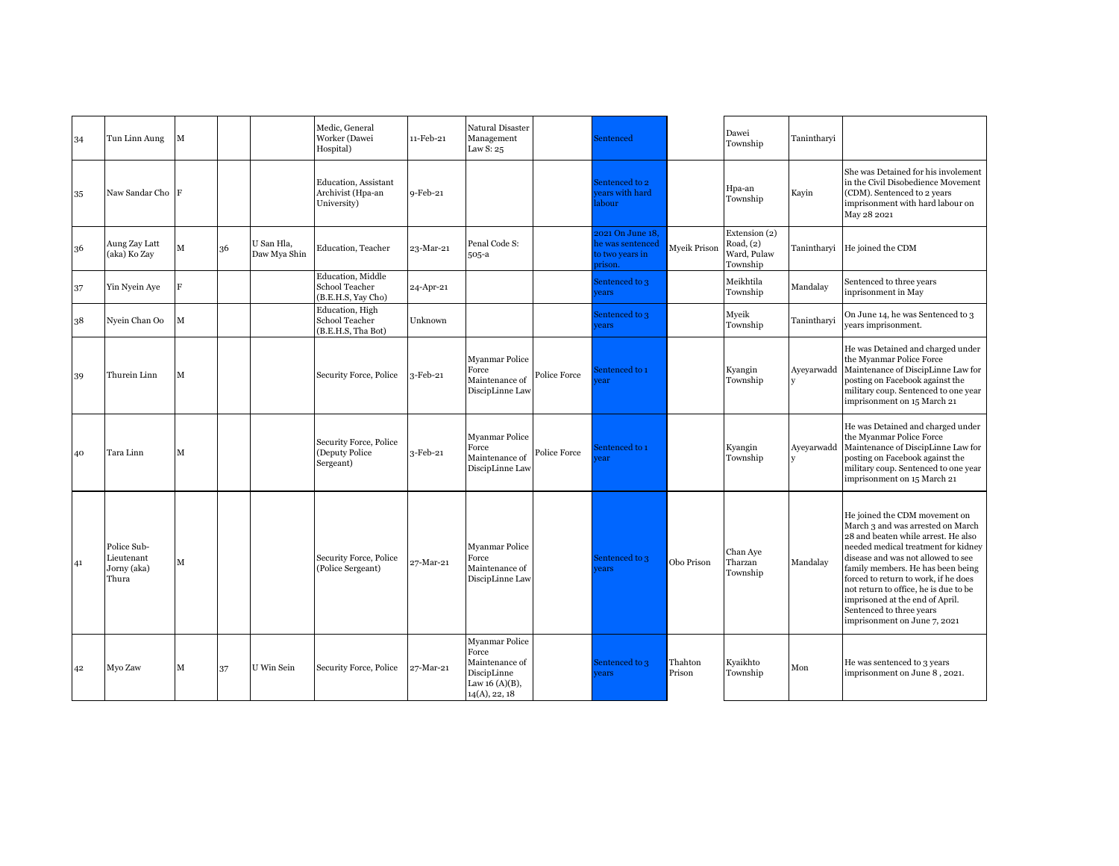| 34 | Tun Linn Aung                                     | М |    |                            | Medic, General<br>Worker (Dawei<br>Hospital)              | 11-Feb-21   | Natural Disaster<br>Management<br>Law S: 25                                                          |              | Sentenced                                                          |                   | Dawei<br>Township                                     | Tanintharyi |                                                                                                                                                                                                                                                                                                                                                                                                             |
|----|---------------------------------------------------|---|----|----------------------------|-----------------------------------------------------------|-------------|------------------------------------------------------------------------------------------------------|--------------|--------------------------------------------------------------------|-------------------|-------------------------------------------------------|-------------|-------------------------------------------------------------------------------------------------------------------------------------------------------------------------------------------------------------------------------------------------------------------------------------------------------------------------------------------------------------------------------------------------------------|
| 35 | Naw Sandar Cho                                    | F |    |                            | Education, Assistant<br>Archivist (Hpa-an<br>University)  | 9-Feb-21    |                                                                                                      |              | Sentenced to 2<br>ears with hard<br>abour                          |                   | Hpa-an<br>Township                                    | Kavin       | She was Detained for his involement<br>in the Civil Disobedience Movement<br>(CDM). Sentenced to 2 years<br>imprisonment with hard labour on<br>May 28 2021                                                                                                                                                                                                                                                 |
| 36 | Aung Zay Latt<br>(aka) Ko Zay                     | M | 36 | U San Hla,<br>Daw Mya Shin | Education, Teacher                                        | 23-Mar-21   | Penal Code S:<br>505-a                                                                               |              | 2021 On June 18,<br>he was sentenced<br>to two years in<br>prison. | Myeik Prison      | Extension (2)<br>Road, (2)<br>Ward, Pulaw<br>Township | Tanintharyi | He joined the CDM                                                                                                                                                                                                                                                                                                                                                                                           |
| 37 | Yin Nyein Aye                                     | F |    |                            | Education, Middle<br>School Teacher<br>(B.E.H.S, Yay Cho) | 24-Apr-21   |                                                                                                      |              | Sentenced to 3<br>ears                                             |                   | Meikhtila<br>Township                                 | Mandalay    | Sentenced to three years<br>inprisonment in May                                                                                                                                                                                                                                                                                                                                                             |
| 38 | Nyein Chan Oo                                     | M |    |                            | Education, High<br>School Teacher<br>(B.E.H.S, Tha Bot)   | Unknown     |                                                                                                      |              | Sentenced to 3<br>rears                                            |                   | Myeik<br>Township                                     | Tanintharvi | On June 14, he was Sentenced to 3<br>years imprisonment.                                                                                                                                                                                                                                                                                                                                                    |
| 39 | Thurein Linn                                      | M |    |                            | Security Force, Police                                    | $3$ -Feb-21 | Myanmar Police<br>Force<br>Maintenance of<br>DiscipLinne Law                                         | Police Force | Sentenced to 1<br>ear                                              |                   | Kyangin<br>Township                                   | Ayeyarwadd  | He was Detained and charged under<br>the Myanmar Police Force<br>Maintenance of DiscipLinne Law for<br>posting on Facebook against the<br>military coup. Sentenced to one year<br>imprisonment on 15 March 21                                                                                                                                                                                               |
| 40 | Tara Linn                                         | М |    |                            | Security Force, Police<br>(Deputy Police)<br>Sergeant)    | 3-Feb-21    | <b>Myanmar</b> Police<br>Force<br>Maintenance of<br>DiscipLinne Law                                  | Police Force | Sentenced to 1<br>ear                                              |                   | Kyangin<br>Township                                   | Ayeyarwadd  | He was Detained and charged under<br>the Myanmar Police Force<br>Maintenance of DiscipLinne Law for<br>posting on Facebook against the<br>military coup. Sentenced to one year<br>imprisonment on 15 March 21                                                                                                                                                                                               |
| 41 | Police Sub-<br>Lieutenant<br>Jorny (aka)<br>Thura | M |    |                            | Security Force, Police<br>(Police Sergeant)               | 27-Mar-21   | <b>Myanmar Police</b><br>Force<br>Maintenance of<br>DiscipLinne Law                                  |              | Sentenced to 3<br>rears                                            | Obo Prison        | Chan Aye<br>Tharzan<br>Township                       | Mandalay    | He joined the CDM movement on<br>March 3 and was arrested on March<br>28 and beaten while arrest. He also<br>needed medical treatment for kidney<br>disease and was not allowed to see<br>family members. He has been being<br>forced to return to work, if he does<br>not return to office, he is due to be<br>imprisoned at the end of April.<br>Sentenced to three years<br>imprisonment on June 7, 2021 |
| 42 | Myo Zaw                                           | м | 37 | U Win Sein                 | Security Force, Police                                    | 27-Mar-21   | <b>Myanmar Police</b><br>Force<br>Maintenance of<br>DiscipLinne<br>Law $16(A)(B)$ ,<br>14(A), 22, 18 |              | Sentenced to 3<br>ears                                             | Thahton<br>Prison | Kyaikhto<br>Township                                  | Mon         | He was sentenced to 3 years<br>imprisonment on June 8, 2021.                                                                                                                                                                                                                                                                                                                                                |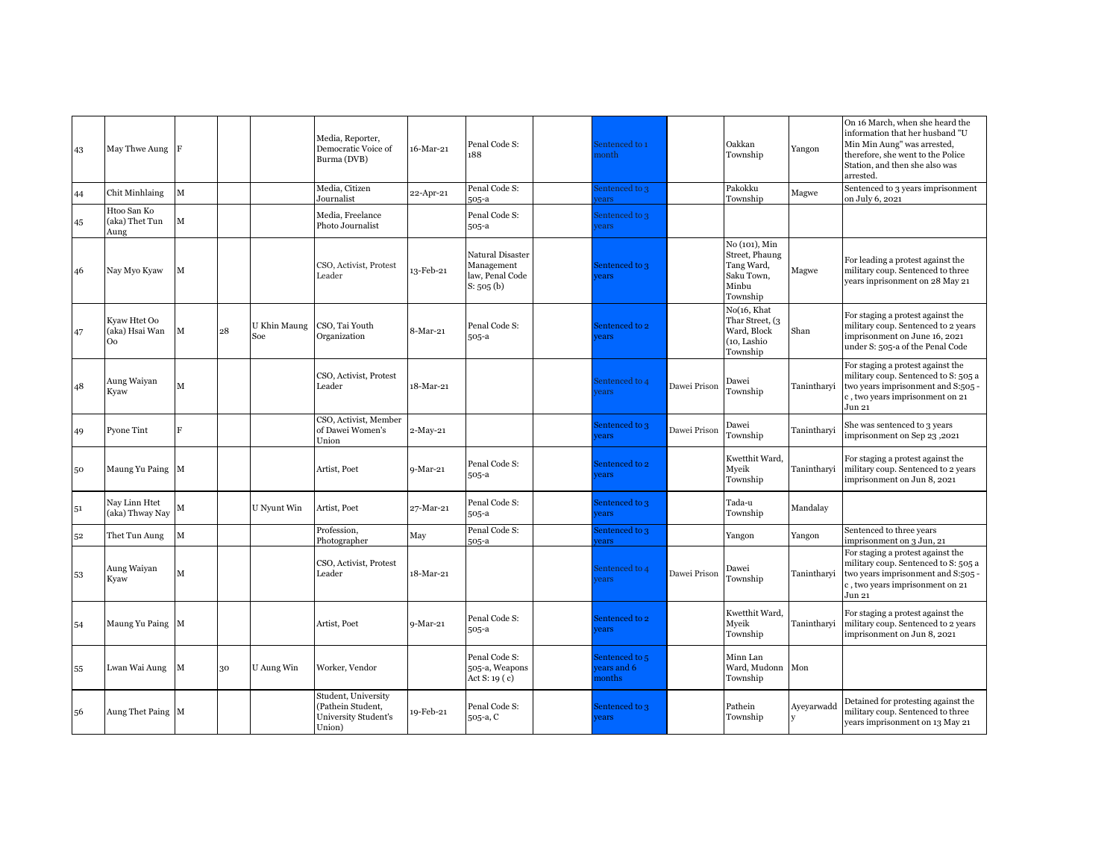| 43 | May Thwe Aung F                       |             |    |                     | Media, Reporter,<br>Democratic Voice of<br>Burma (DVB)                     | 16-Mar-21  | Penal Code S:<br>188                                           | Sentenced to 1<br>nonth                |              | Oakkan<br>Township                                                               | Yangon      | On 16 March, when she heard the<br>information that her husband "U<br>Min Min Aung" was arrested,<br>therefore, she went to the Police<br>Station, and then she also was<br>arrested. |
|----|---------------------------------------|-------------|----|---------------------|----------------------------------------------------------------------------|------------|----------------------------------------------------------------|----------------------------------------|--------------|----------------------------------------------------------------------------------|-------------|---------------------------------------------------------------------------------------------------------------------------------------------------------------------------------------|
| 44 | Chit Minhlaing                        | $\mathbf M$ |    |                     | Media, Citizen<br>Journalist                                               | 22-Apr-21  | Penal Code S:<br>$505 - a$                                     | Sentenced to 3<br>ears                 |              | Pakokku<br>Township                                                              | Magwe       | Sentenced to 3 years imprisonment<br>on July 6, 2021                                                                                                                                  |
| 45 | Htoo San Ko<br>(aka) Thet Tun<br>Aung | $\mathbf M$ |    |                     | Media, Freelance<br>Photo Journalist                                       |            | Penal Code S:<br>505-a                                         | Sentenced to 3<br>rears                |              |                                                                                  |             |                                                                                                                                                                                       |
| 46 | Nay Myo Kyaw                          | М           |    |                     | CSO, Activist, Protest<br>Leader                                           | 13-Feb-21  | Natural Disaster<br>Management<br>law, Penal Code<br>S: 505(b) | Sentenced to 3<br>ears                 |              | No (101), Min<br>Street, Phaung<br>Tang Ward,<br>Saku Town,<br>Minbu<br>Township | Magwe       | For leading a protest against the<br>military coup. Sentenced to three<br>years inprisonment on 28 May 21                                                                             |
| 47 | Kyaw Htet Oo<br>(aka) Hsai Wan<br>Oo  | М           | 28 | U Khin Maung<br>Soe | CSO, Tai Youth<br>Organization                                             | 8-Mar-21   | Penal Code S:<br>$505 - a$                                     | Sentenced to 2<br>ears                 |              | No(16, Khat<br>Thar Street, (3)<br>Ward, Block<br>(10, Lashio<br>Township        | Shan        | For staging a protest against the<br>military coup. Sentenced to 2 years<br>imprisonment on June 16, 2021<br>under S: 505-a of the Penal Code                                         |
| 48 | Aung Waiyan<br>Kyaw                   | М           |    |                     | CSO, Activist, Protest<br>Leader                                           | 18-Mar-21  |                                                                | Sentenced to 4<br>ears                 | Dawei Prison | Dawei<br>Township                                                                | Tanintharvi | For staging a protest against the<br>military coup. Sentenced to S: 505 a<br>two years imprisonment and S:505 -<br>c, two years imprisonment on 21<br>Jun 21                          |
| 49 | Pyone Tint                            | F           |    |                     | CSO, Activist, Member<br>of Dawei Women's<br>Union                         | 2-May-21   |                                                                | Sentenced to 3<br>rears                | Dawei Prison | Dawei<br>Township                                                                | Tanintharyi | She was sentenced to 3 years<br>imprisonment on Sep 23,2021                                                                                                                           |
| 50 | Maung Yu Paing M                      |             |    |                     | Artist, Poet                                                               | $9-Mar-21$ | Penal Code S:<br>505-a                                         | Sentenced to 2<br>ears                 |              | Kwetthit Ward,<br>Myeik<br>Township                                              | Tanintharvi | For staging a protest against the<br>military coup. Sentenced to 2 years<br>imprisonment on Jun 8, 2021                                                                               |
| 51 | Nay Linn Htet<br>(aka) Thway Nay      | М           |    | U Nyunt Win         | Artist, Poet                                                               | 27-Mar-21  | Penal Code S:<br>505-a                                         | Sentenced to 3<br>rears                |              | Tada-u<br>Township                                                               | Mandalay    |                                                                                                                                                                                       |
| 52 | Thet Tun Aung                         | M           |    |                     | Profession,<br>Photographer                                                | May        | Penal Code S:<br>505-a                                         | Sentenced to 3<br>ears                 |              | Yangon                                                                           | Yangon      | Sentenced to three years<br>imprisonment on 3 Jun, 21                                                                                                                                 |
| 53 | Aung Waiyan<br>Kyaw                   | $\mathbf M$ |    |                     | CSO, Activist, Protest<br>Leader                                           | 18-Mar-21  |                                                                | Sentenced to 4<br>ears                 | Dawei Prison | Dawei<br>Township                                                                | Tanintharvi | For staging a protest against the<br>military coup. Sentenced to S: 505 a<br>two years imprisonment and S:505 -<br>c, two years imprisonment on 21<br>Jun 21                          |
| 54 | Maung Yu Paing M                      |             |    |                     | Artist, Poet                                                               | $9-Mar-21$ | Penal Code S:<br>505-a                                         | Sentenced to 2<br>vears                |              | Kwetthit Ward.<br>Myeik<br>Township                                              | Tanintharyi | For staging a protest against the<br>military coup. Sentenced to 2 years<br>imprisonment on Jun 8, 2021                                                                               |
| 55 | Lwan Wai Aung                         | M           | 30 | U Aung Win          | Worker, Vendor                                                             |            | Penal Code S:<br>505-a, Weapons<br>Act S: 19 (c)               | Sentenced to 5<br>ears and 6<br>months |              | Minn Lan<br>Ward, Mudonn Mon<br>Township                                         |             |                                                                                                                                                                                       |
| 56 | Aung Thet Paing M                     |             |    |                     | Student, University<br>(Pathein Student,<br>University Student's<br>Union) | 19-Feb-21  | Penal Code S:<br>505-a, C                                      | Sentenced to 3<br>ears                 |              | Pathein<br>Township                                                              | Ayeyarwadd  | Detained for protesting against the<br>military coup. Sentenced to three<br>years imprisonment on 13 May 21                                                                           |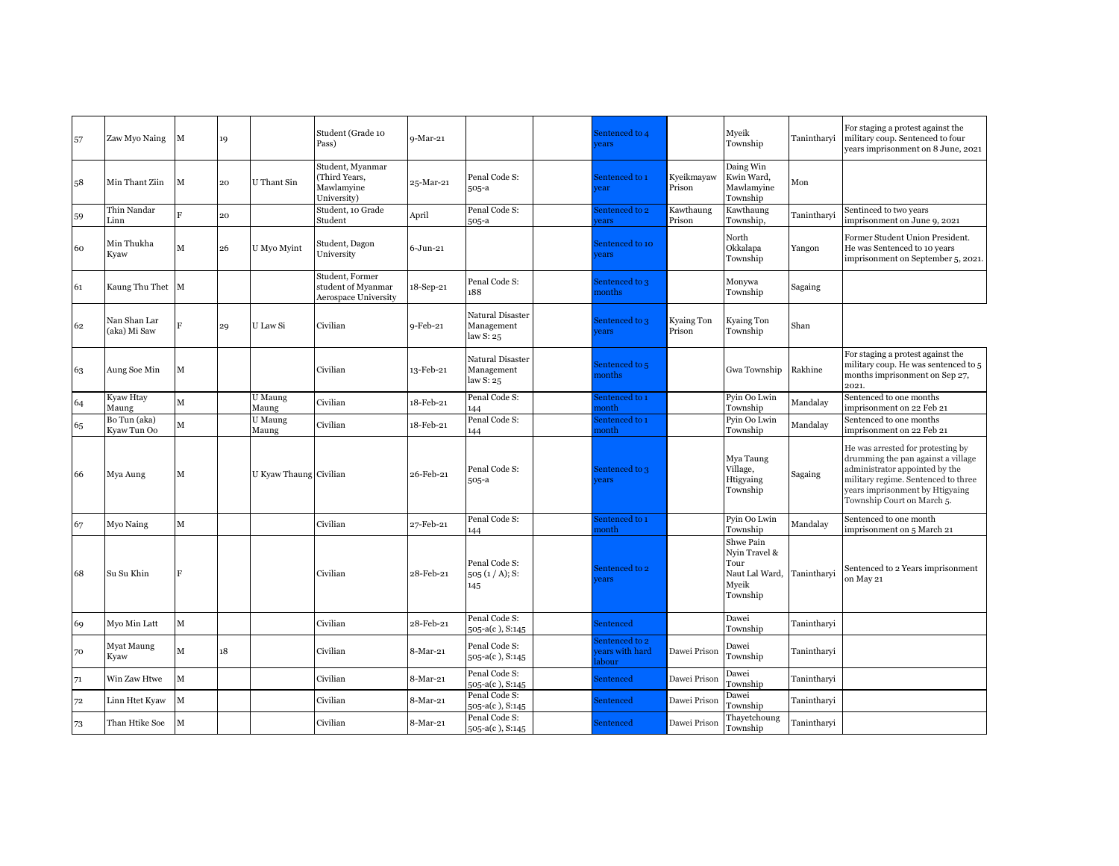| 57 | Zaw Myo Naing                | M           | 19 |                        | Student (Grade 10<br>Pass)                                     | 9-Mar-21     |                                             | Sentenced to 4<br>ears                    |                      | Myeik<br>Township                                                         | Tanintharvi | For staging a protest against the<br>military coup. Sentenced to four<br>years imprisonment on 8 June, 2021                                                                                                       |
|----|------------------------------|-------------|----|------------------------|----------------------------------------------------------------|--------------|---------------------------------------------|-------------------------------------------|----------------------|---------------------------------------------------------------------------|-------------|-------------------------------------------------------------------------------------------------------------------------------------------------------------------------------------------------------------------|
| 58 | Min Thant Ziin               | M           | 20 | U Thant Sin            | Student, Myanmar<br>(Third Years,<br>Mawlamyine<br>University) | 25-Mar-21    | Penal Code S:<br>$505 - a$                  | Sentenced to 1<br>ear                     | Kyeikmayaw<br>Prison | Daing Win<br>Kwin Ward.<br>Mawlamyine<br>Township                         | Mon         |                                                                                                                                                                                                                   |
| 59 | Thin Nandar<br>Linn          |             | 20 |                        | Student, 10 Grade<br>Student                                   | April        | Penal Code S:<br>$505 - a$                  | Sentenced to 2<br><b>ars</b>              | Kawthaung<br>Prison  | Kawthaung<br>Township,                                                    | Tanintharyi | Sentinced to two years<br>imprisonment on June 9, 2021                                                                                                                                                            |
| 60 | Min Thukha<br>Kyaw           | M           | 26 | U Myo Myint            | Student, Dagon<br>University                                   | $6 - Jun-21$ |                                             | Sentenced to 10<br>ears                   |                      | North<br>Okkalapa<br>Township                                             | Yangon      | Former Student Union President.<br>He was Sentenced to 10 years<br>imprisonment on September 5, 2021.                                                                                                             |
| 61 | Kaung Thu Thet M             |             |    |                        | Student, Former<br>student of Myanmar<br>Aerospace University  | 18-Sep-21    | Penal Code S:<br>188                        | Sentenced to 3<br>nonths                  |                      | Monywa<br>Township                                                        | Sagaing     |                                                                                                                                                                                                                   |
| 62 | Nan Shan Lar<br>(aka) Mi Saw |             | 29 | U Law Si               | Civilian                                                       | 9-Feb-21     | Natural Disaster<br>Management<br>law S: 25 | Sentenced to 3<br>rears                   | Kyaing Ton<br>Prison | Kyaing Ton<br>Township                                                    | Shan        |                                                                                                                                                                                                                   |
| 63 | Aung Soe Min                 | M           |    |                        | Civilian                                                       | 13-Feb-21    | Natural Disaster<br>Management<br>law S: 25 | Sentenced to 5<br>nonths                  |                      | Gwa Township                                                              | Rakhine     | For staging a protest against the<br>military coup. He was sentenced to 5<br>months imprisonment on Sep 27,<br>2021.                                                                                              |
| 64 | Kyaw Htay<br>Maung           | $\mathbf M$ |    | U Maung<br>Maung       | Civilian                                                       | 18-Feb-21    | Penal Code S:<br>144                        | sentenced to 1<br>nonth                   |                      | Pyin Oo Lwin<br>Township                                                  | Mandalay    | Sentenced to one months<br>imprisonment on 22 Feb 21                                                                                                                                                              |
| 65 | Bo Tun (aka)<br>Kyaw Tun Oo  | M           |    | U Maung<br>Maung       | Civilian                                                       | 18-Feb-21    | Penal Code S:<br>144                        | sentenced to 1<br>nonth                   |                      | Pyin Oo Lwin<br>Township                                                  | Mandalay    | Sentenced to one months<br>imprisonment on 22 Feb 21                                                                                                                                                              |
| 66 | Mya Aung                     | М           |    | U Kyaw Thaung Civilian |                                                                | 26-Feb-21    | Penal Code S:<br>505-a                      | Sentenced to 3<br>ears                    |                      | Mya Taung<br>Village,<br>Htigyaing<br>Township                            | Sagaing     | He was arrested for protesting by<br>drumming the pan against a village<br>administrator appointed by the<br>military regime. Sentenced to three<br>years imprisonment by Htigyaing<br>Township Court on March 5. |
| 67 | Myo Naing                    | М           |    |                        | Civilian                                                       | 27-Feb-21    | Penal Code S:<br>144                        | Sentenced to 1<br>nonth                   |                      | Pyin Oo Lwin<br>Township                                                  | Mandalay    | Sentenced to one month<br>imprisonment on 5 March 21                                                                                                                                                              |
| 68 | Su Su Khin                   | F           |    |                        | Civilian                                                       | 28-Feb-21    | Penal Code S:<br>505 (1 / A); S:<br>145     | Sentenced to 2<br>ears                    |                      | Shwe Pain<br>Nyin Travel &<br>Tour<br>Naut Lal Ward,<br>Myeik<br>Township | Tanintharyi | Sentenced to 2 Years imprisonment<br>on May 21                                                                                                                                                                    |
| 69 | Myo Min Latt                 | $\mathbf M$ |    |                        | Civilian                                                       | 28-Feb-21    | Penal Code S:<br>505-a(c ), S:145           | Sentenced                                 |                      | Dawei<br>Township                                                         | Tanintharyi |                                                                                                                                                                                                                   |
| 70 | <b>Myat Maung</b><br>Kyaw    | М           | 18 |                        | Civilian                                                       | 8-Mar-21     | Penal Code S:<br>505-a(c), S:145            | sentenced to 2<br>ears with hard<br>abour | Dawei Prison         | Dawei<br>Township                                                         | Tanintharvi |                                                                                                                                                                                                                   |
| 71 | Win Zaw Htwe                 | M           |    |                        | Civilian                                                       | 8-Mar-21     | Penal Code S:<br>505-a(c), S:145            | Sentenced                                 | Dawei Prison         | Dawei<br>Township                                                         | Tanintharvi |                                                                                                                                                                                                                   |
| 72 | Linn Htet Kyaw               | $\mathbf M$ |    |                        | Civilian                                                       | 8-Mar-21     | Penal Code S:<br>505-a(c), S:145            | Sentenced                                 | Dawei Prison         | Dawei<br>Township                                                         | Tanintharyi |                                                                                                                                                                                                                   |
| 73 | Than Htike Soe               | M           |    |                        | Civilian                                                       | 8-Mar-21     | Penal Code S:<br>505-a(c), S:145            | Sentenced                                 | Dawei Prison         | Thayetchoung<br>Township                                                  | Tanintharyi |                                                                                                                                                                                                                   |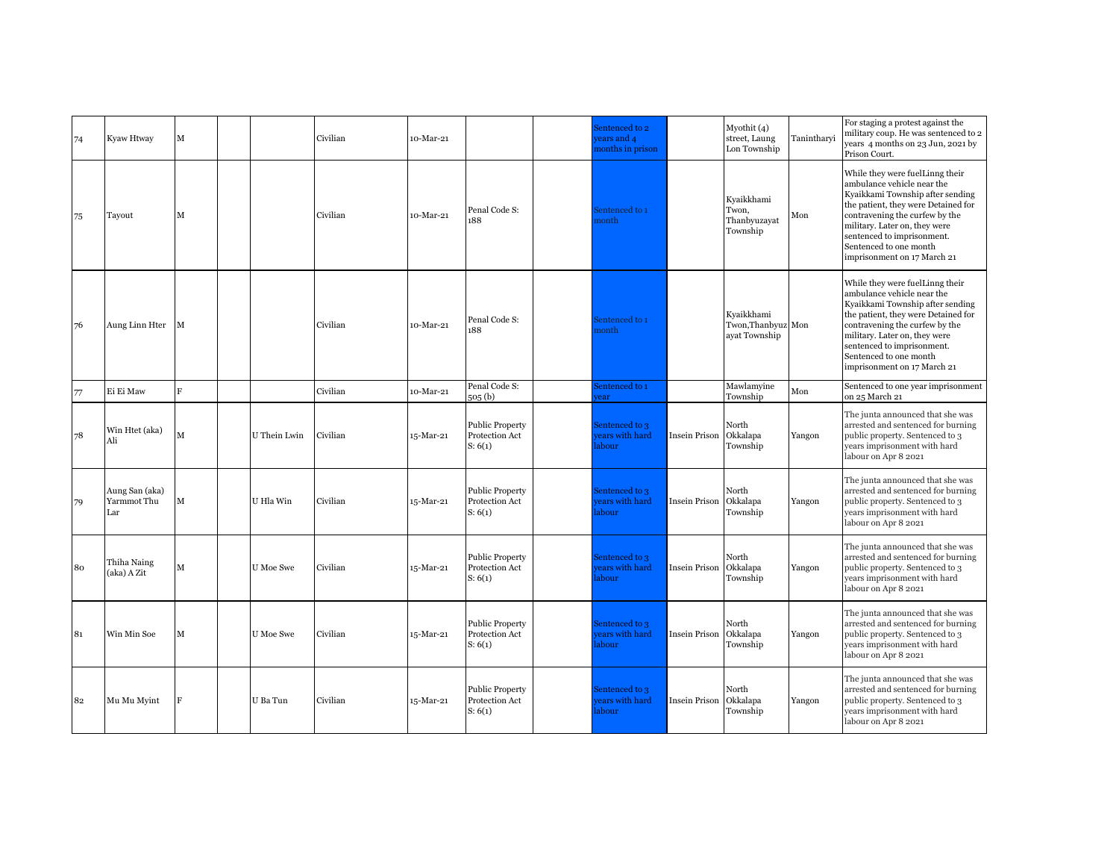| 74 | Kyaw Htway                           | М            |                  | Civilian | 10-Mar-21 |                                                     | entenced to 2<br>ears and 4<br>months in prison |                      | Myothit $(4)$<br>street, Laung<br>Lon Township    | Tanintharvi | For staging a protest against the<br>military coup. He was sentenced to 2<br>years 4 months on 23 Jun, 2021 by<br>Prison Court.                                                                                                                                                                    |
|----|--------------------------------------|--------------|------------------|----------|-----------|-----------------------------------------------------|-------------------------------------------------|----------------------|---------------------------------------------------|-------------|----------------------------------------------------------------------------------------------------------------------------------------------------------------------------------------------------------------------------------------------------------------------------------------------------|
| 75 | Tayout                               | M            |                  | Civilian | 10-Mar-21 | Penal Code S:<br>188                                | Sentenced to 1<br>nonth                         |                      | Kyaikkhami<br>Twon,<br>Thanbyuzayat<br>Township   | Mon         | While they were fuelLinng their<br>ambulance vehicle near the<br>Kyaikkami Township after sending<br>the patient, they were Detained for<br>contravening the curfew by the<br>military. Later on, they were<br>sentenced to imprisonment.<br>Sentenced to one month<br>imprisonment on 17 March 21 |
| 76 | Aung Linn Hter                       | $\mathbf{M}$ |                  | Civilian | 10-Mar-21 | Penal Code S:<br>188                                | Sentenced to 1<br>nonth                         |                      | Kyaikkhami<br>Twon, Thanbyuz Mon<br>ayat Township |             | While they were fuelLinng their<br>ambulance vehicle near the<br>Kyaikkami Township after sending<br>the patient, they were Detained for<br>contravening the curfew by the<br>military. Later on, they were<br>sentenced to imprisonment.<br>Sentenced to one month<br>imprisonment on 17 March 21 |
| 77 | Ei Ei Maw                            | Þ.           |                  | Civilian | 10-Mar-21 | Penal Code S:<br>505 (b)                            | Sentenced to 1<br>ear                           |                      | Mawlamyine<br>Township                            | Mon         | Sentenced to one year imprisonment<br>on 25 March 21                                                                                                                                                                                                                                               |
| 78 | Win Htet (aka)<br>Ali                | M            | U Thein Lwin     | Civilian | 15-Mar-21 | <b>Public Property</b><br>Protection Act<br>S: 6(1) | Sentenced to 3<br>ears with hard<br>abour       | <b>Insein Prison</b> | North<br>Okkalapa<br>Township                     | Yangon      | The junta announced that she was<br>arrested and sentenced for burning<br>public property. Sentenced to 3<br>years imprisonment with hard<br>labour on Apr 8 2021                                                                                                                                  |
| 79 | Aung San (aka)<br>Yarmmot Thu<br>Lar | M            | U Hla Win        | Civilian | 15-Mar-21 | <b>Public Property</b><br>Protection Act<br>S: 6(1) | Sentenced to 3<br>ears with hard<br>labour      | Insein Prison        | North<br>Okkalapa<br>Township                     | Yangon      | The junta announced that she was<br>arrested and sentenced for burning<br>public property. Sentenced to 3<br>years imprisonment with hard<br>labour on Apr 8 2021                                                                                                                                  |
| 80 | Thiha Naing<br>(aka) A Zit           | М            | <b>U</b> Moe Swe | Civilian | 15-Mar-21 | <b>Public Property</b><br>Protection Act<br>S: 6(1) | Sentenced to 3<br>ears with hard<br>abour       | <b>Insein Prison</b> | North<br>Okkalapa<br>Township                     | Yangon      | The junta announced that she was<br>arrested and sentenced for burning<br>public property. Sentenced to 3<br>years imprisonment with hard<br>labour on Apr 8 2021                                                                                                                                  |
| 81 | Win Min Soe                          | M            | <b>U</b> Moe Swe | Civilian | 15-Mar-21 | <b>Public Property</b><br>Protection Act<br>S: 6(1) | Sentenced to 3<br>ears with hard<br>abour       | Insein Prison        | North<br>Okkalapa<br>Township                     | Yangon      | The junta announced that she was<br>arrested and sentenced for burning<br>public property. Sentenced to 3<br>years imprisonment with hard<br>labour on Apr 8 2021                                                                                                                                  |
| 82 | Mu Mu Myint                          | F            | U Ba Tun         | Civilian | 15-Mar-21 | <b>Public Property</b><br>Protection Act<br>S: 6(1) | Sentenced to 3<br>ears with hard<br>abour       | Insein Prison        | North<br>Okkalapa<br>Township                     | Yangon      | The junta announced that she was<br>arrested and sentenced for burning<br>public property. Sentenced to 3<br>years imprisonment with hard<br>labour on Apr 8 2021                                                                                                                                  |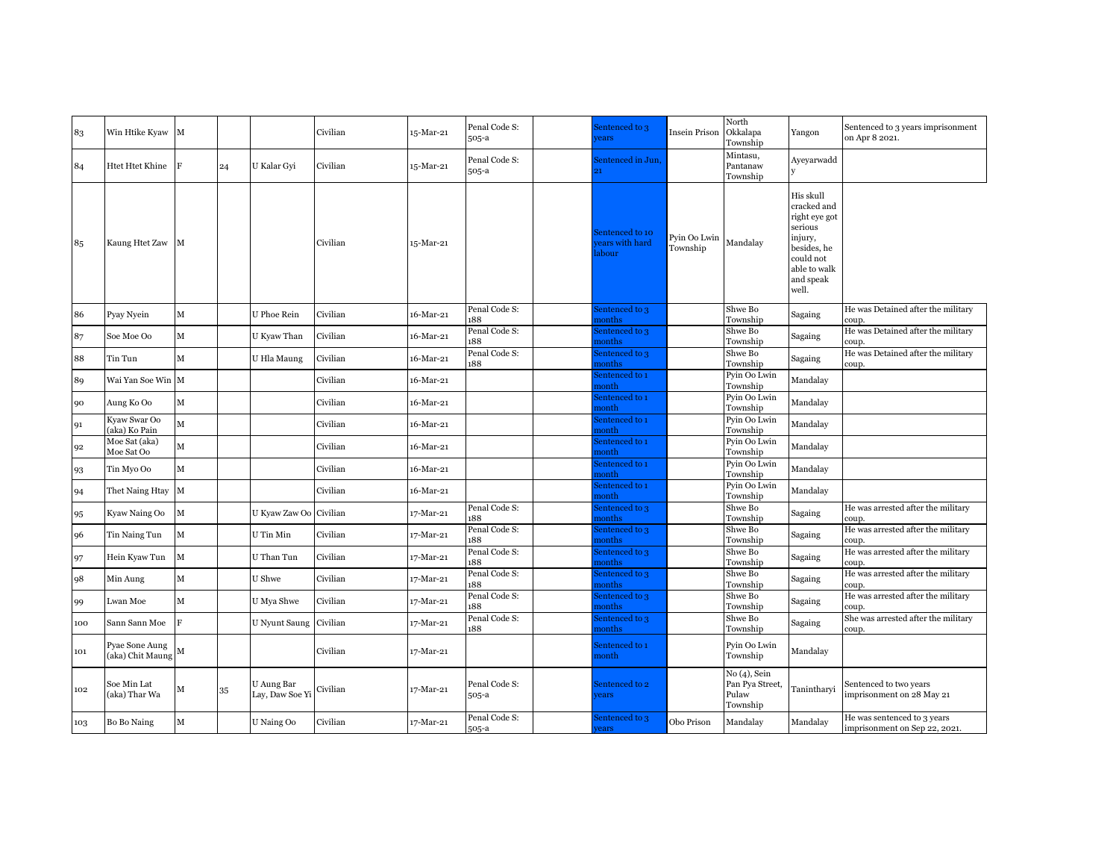| 83  | Win Htike Kyaw M                   |             |    |                               | Civilian | 15-Mar-21 | Penal Code S:<br>505-a     | Sentenced to 3<br>rears                    | Insein Prison            | North<br>Okkalapa<br>Township                          | Yangon                                                                                                                            | Sentenced to 3 years imprisonment<br>on Apr 8 2021.          |
|-----|------------------------------------|-------------|----|-------------------------------|----------|-----------|----------------------------|--------------------------------------------|--------------------------|--------------------------------------------------------|-----------------------------------------------------------------------------------------------------------------------------------|--------------------------------------------------------------|
| 84  | Htet Htet Khine                    | F           | 24 | U Kalar Gyi                   | Civilian | 15-Mar-21 | Penal Code S:<br>$505 - a$ | Sentenced in Jun,                          |                          | Mintasu,<br>Pantanaw<br>Township                       | Ayeyarwadd                                                                                                                        |                                                              |
| 85  | Kaung Htet Zaw M                   |             |    |                               | Civilian | 15-Mar-21 |                            | Sentenced to 10<br>ears with hard<br>abour | Pyin Oo Lwin<br>Township | Mandalay                                               | His skull<br>cracked and<br>right eye got<br>serious<br>injury,<br>besides, he<br>could not<br>able to walk<br>and speak<br>well. |                                                              |
| 86  | Pyay Nyein                         | M           |    | U Phoe Rein                   | Civilian | 16-Mar-21 | Penal Code S:<br>188       | sentenced to 3<br><b>onths</b>             |                          | Shwe Bo<br>Township                                    | Sagaing                                                                                                                           | He was Detained after the military<br>coup.                  |
| 87  | Soe Moe Oo                         | M           |    | U Kyaw Than                   | Civilian | 16-Mar-21 | Penal Code S:<br>188       | entenced to 3<br>nonths                    |                          | Shwe Bo<br>Township                                    | Sagaing                                                                                                                           | He was Detained after the military<br>coup.                  |
| 88  | Tin Tun                            | м           |    | U Hla Maung                   | Civilian | 16-Mar-21 | Penal Code S:<br>188       | sentenced to 3<br>nonths                   |                          | Shwe Bo<br>Township                                    | Sagaing                                                                                                                           | He was Detained after the military<br>coup.                  |
| 89  | Wai Yan Soe Win M                  |             |    |                               | Civilian | 16-Mar-21 |                            | entenced to 1<br>nonth                     |                          | Pyin Oo Lwin<br>Township                               | Mandalay                                                                                                                          |                                                              |
| 90  | Aung Ko Oo                         | M           |    |                               | Civilian | 16-Mar-21 |                            | entenced to 1<br>nonth                     |                          | Pyin Oo Lwin<br>Township                               | Mandalay                                                                                                                          |                                                              |
| 91  | Kyaw Swar Oo<br>(aka) Ko Pain      | M           |    |                               | Civilian | 16-Mar-21 |                            | sentenced to 1<br>nonth                    |                          | Pyin Oo Lwin<br>Township                               | Mandalay                                                                                                                          |                                                              |
| 92  | Moe Sat (aka)<br>Moe Sat Oo        | M           |    |                               | Civilian | 16-Mar-21 |                            | sentenced to 1<br>nonth                    |                          | Pyin Oo Lwin<br>Township                               | Mandalay                                                                                                                          |                                                              |
| 93  | Tin Myo Oo                         | M           |    |                               | Civilian | 16-Mar-21 |                            | entenced to 1<br>nonth                     |                          | Pyin Oo Lwin<br>Township                               | Mandalay                                                                                                                          |                                                              |
| 94  | Thet Naing Htay M                  |             |    |                               | Civilian | 16-Mar-21 |                            | sentenced to 1<br>nonth                    |                          | Pyin Oo Lwin<br>Township                               | Mandalay                                                                                                                          |                                                              |
| 95  | Kyaw Naing Oo                      | $\mathbf M$ |    | U Kyaw Zaw Oo Civilian        |          | 17-Mar-21 | Penal Code S:<br>188       | Sentenced to 3<br>nonths                   |                          | Shwe Bo<br>Township                                    | Sagaing                                                                                                                           | He was arrested after the military<br>coup.                  |
| 96  | Tin Naing Tun                      | $\mathbf M$ |    | U Tin Min                     | Civilian | 17-Mar-21 | Penal Code S:<br>188       | sentenced to 3<br>nonths                   |                          | Shwe Bo<br>Township                                    | Sagaing                                                                                                                           | He was arrested after the military<br>coup.                  |
| 97  | Hein Kyaw Tun                      | M           |    | U Than Tun                    | Civilian | 17-Mar-21 | Penal Code S:<br>188       | sentenced to 3<br>nonths                   |                          | Shwe Bo<br>Township                                    | Sagaing                                                                                                                           | He was arrested after the military<br>coup.                  |
| 98  | Min Aung                           | м           |    | U Shwe                        | Civilian | 17-Mar-21 | Penal Code S:<br>188       | sentenced to 3<br><b>onths</b>             |                          | Shwe Bo<br>Township                                    | Sagaing                                                                                                                           | He was arrested after the military<br>coup.                  |
| 99  | Lwan Moe                           | М           |    | U Mya Shwe                    | Civilian | 17-Mar-21 | Penal Code S:<br>188       | entenced to 3<br>nonths                    |                          | Shwe Bo<br>Township                                    | Sagaing                                                                                                                           | He was arrested after the military<br>coup.                  |
| 100 | Sann Sann Moe                      | F           |    | U Nyunt Saung Civilian        |          | 17-Mar-21 | Penal Code S:<br>188       | sentenced to 3<br>nonths                   |                          | Shwe Bo<br>Township                                    | Sagaing                                                                                                                           | She was arrested after the military<br>coup.                 |
| 101 | Pyae Sone Aung<br>(aka) Chit Maung | M           |    |                               | Civilian | 17-Mar-21 |                            | Sentenced to 1<br>month                    |                          | Pyin Oo Lwin<br>Township                               | Mandalay                                                                                                                          |                                                              |
| 102 | Soe Min Lat<br>(aka) Thar Wa       | М           | 35 | U Aung Bar<br>Lay, Daw Soe Yi | Civilian | 17-Mar-21 | Penal Code S:<br>505-a     | Sentenced to 2<br><b>rears</b>             |                          | $No(4)$ , Sein<br>Pan Pya Street,<br>Pulaw<br>Township | Tanintharyi                                                                                                                       | Sentenced to two years<br>imprisonment on 28 May 21          |
| 103 | <b>Bo Bo Naing</b>                 | M           |    | U Naing Oo                    | Civilian | 17-Mar-21 | Penal Code S:<br>505-a     | Sentenced to 3<br><b>rears</b>             | Obo Prison               | Mandalay                                               | Mandalay                                                                                                                          | He was sentenced to 3 years<br>imprisonment on Sep 22, 2021. |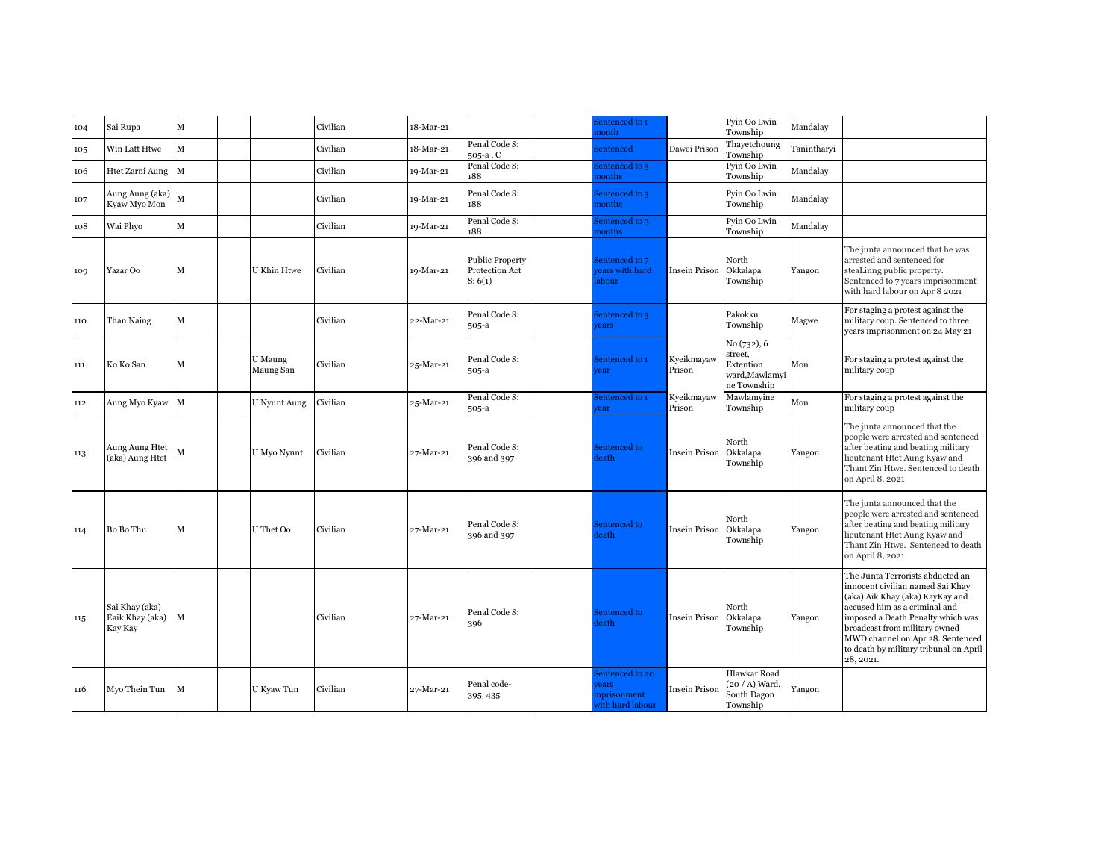| 104 | Sai Rupa                                     | M           |                      | Civilian | 18-Mar-21 |                                                     | Sentenced to 1<br>nonth                                     |                      | Pyin Oo Lwin<br>Township                                             | Mandalay    |                                                                                                                                                                                                                                                                                                           |
|-----|----------------------------------------------|-------------|----------------------|----------|-----------|-----------------------------------------------------|-------------------------------------------------------------|----------------------|----------------------------------------------------------------------|-------------|-----------------------------------------------------------------------------------------------------------------------------------------------------------------------------------------------------------------------------------------------------------------------------------------------------------|
| 105 | Win Latt Htwe                                | M           |                      | Civilian | 18-Mar-21 | Penal Code S:<br>505-a , C                          | Sentenced                                                   | Dawei Prison         | Thavetchoung<br>Township                                             | Tanintharyi |                                                                                                                                                                                                                                                                                                           |
| 106 | Htet Zarni Aung                              | M           |                      | Civilian | 19-Mar-21 | Penal Code S:<br>188                                | Sentenced to 3<br>nonths                                    |                      | Pyin Oo Lwin<br>Township                                             | Mandalay    |                                                                                                                                                                                                                                                                                                           |
| 107 | Aung Aung (aka)<br>Kyaw Myo Mon              | M           |                      | Civilian | 19-Mar-21 | Penal Code S:<br>188                                | Sentenced to 3<br>nonths                                    |                      | Pyin Oo Lwin<br>Township                                             | Mandalay    |                                                                                                                                                                                                                                                                                                           |
| 108 | Wai Phyo                                     | M           |                      | Civilian | 19-Mar-21 | Penal Code S:<br>188                                | Sentenced to 3<br>nonths                                    |                      | Pyin Oo Lwin<br>Township                                             | Mandalay    |                                                                                                                                                                                                                                                                                                           |
| 109 | Yazar Oo                                     | М           | <b>U</b> Khin Htwe   | Civilian | 19-Mar-21 | <b>Public Property</b><br>Protection Act<br>S: 6(1) | Sentenced to 7<br>ears with hard<br>abour                   | <b>Insein Prison</b> | North<br>Okkalapa<br>Township                                        | Yangon      | The junta announced that he was<br>arrested and sentenced for<br>steaLinng public property.<br>Sentenced to 7 years imprisonment<br>with hard labour on Apr 8 2021                                                                                                                                        |
| 110 | Than Naing                                   | M           |                      | Civilian | 22-Mar-21 | Penal Code S:<br>505-a                              | Sentenced to 3<br><i>rears</i>                              |                      | Pakokku<br>Township                                                  | Magwe       | For staging a protest against the<br>military coup. Sentenced to three<br>vears imprisonment on 24 May 21                                                                                                                                                                                                 |
| 111 | Ko Ko San                                    | M           | U Maung<br>Maung San | Civilian | 25-Mar-21 | Penal Code S:<br>505-a                              | Sentenced to 1<br>rear                                      | Kyeikmayaw<br>Prison | No (732), 6<br>street,<br>Extention<br>ward, Mawlamyi<br>ne Township | Mon         | For staging a protest against the<br>military coup                                                                                                                                                                                                                                                        |
| 112 | Aung Myo Kyaw M                              |             | U Nyunt Aung         | Civilian | 25-Mar-21 | Penal Code S:<br>505-a                              | Sentenced to 1<br>ear                                       | Kyeikmayaw<br>Prison | Mawlamyine<br>Township                                               | Mon         | For staging a protest against the<br>military coup                                                                                                                                                                                                                                                        |
| 113 | Aung Aung Htet<br>(aka) Aung Htet            | М           | U Myo Nyunt          | Civilian | 27-Mar-21 | Penal Code S:<br>396 and 397                        | Sentenced to<br>leath                                       | Insein Prison        | North<br>Okkalapa<br>Township                                        | Yangon      | The junta announced that the<br>people were arrested and sentenced<br>after beating and beating military<br>lieutenant Htet Aung Kyaw and<br>Thant Zin Htwe. Sentenced to death<br>on April 8, 2021                                                                                                       |
| 114 | Bo Bo Thu                                    | M           | U Thet Oo            | Civilian | 27-Mar-21 | Penal Code S:<br>396 and 397                        | Sentenced to<br>leath                                       | Insein Prison        | North<br>Okkalapa<br>Township                                        | Yangon      | The junta announced that the<br>people were arrested and sentenced<br>after beating and beating military<br>lieutenant Htet Aung Kyaw and<br>Thant Zin Htwe. Sentenced to death<br>on April 8, 2021                                                                                                       |
| 115 | Sai Khay (aka)<br>Eaik Khay (aka)<br>Kay Kay | $\mathbf M$ |                      | Civilian | 27-Mar-21 | Penal Code S:<br>396                                | Sentenced to<br>leath                                       | Insein Prison        | North<br>Okkalapa<br>Township                                        | Yangon      | The Junta Terrorists abducted an<br>innocent civilian named Sai Khay<br>(aka) Aik Khay (aka) KayKay and<br>accused him as a criminal and<br>imposed a Death Penalty which was<br>broadcast from military owned<br>MWD channel on Apr 28. Sentenced<br>to death by military tribunal on April<br>28, 2021. |
| 116 | Myo Thein Tun                                | М           | U Kyaw Tun           | Civilian | 27-Mar-21 | Penal code-<br>395, 435                             | Sentenced to 20<br>ears<br>inprisonment<br>with hard labour | Insein Prison        | Hlawkar Road<br>(20 / A) Ward,<br>South Dagon<br>Township            | Yangon      |                                                                                                                                                                                                                                                                                                           |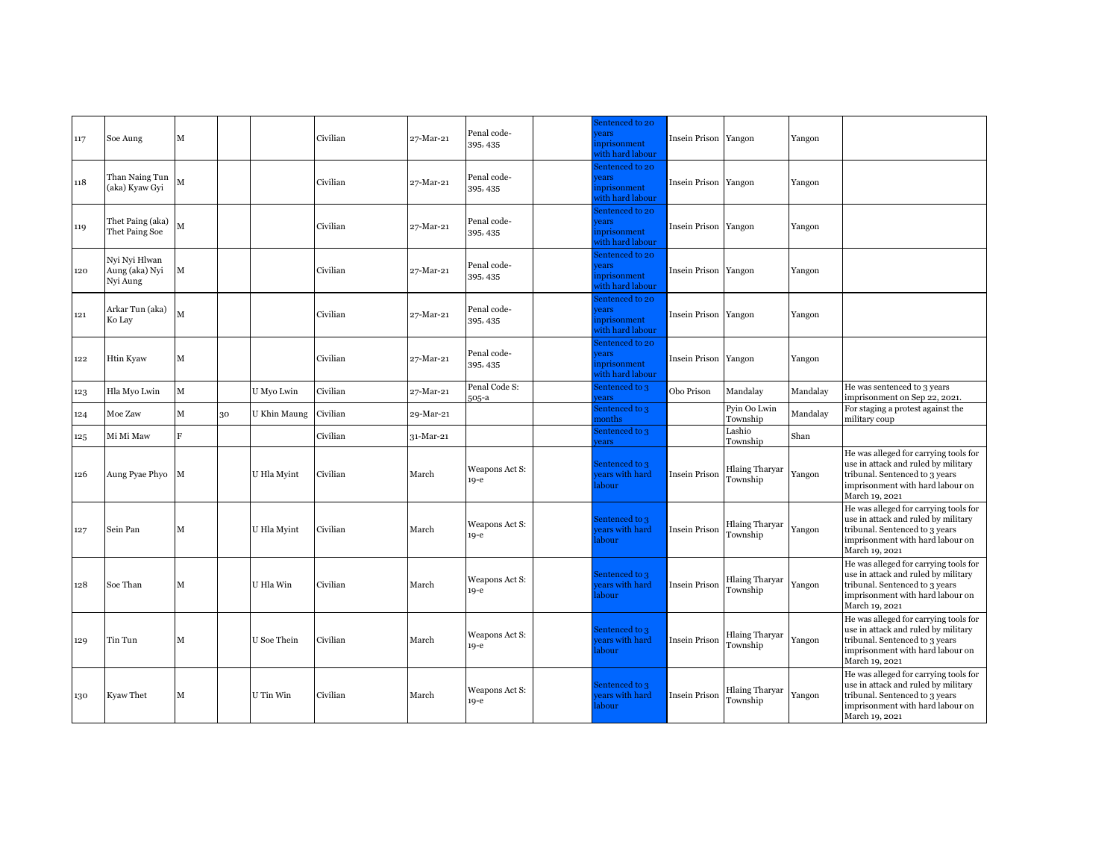| 117 | Soe Aung                                    | М            |    |              | Civilian | 27-Mar-21 | Penal code-<br>395, 435  | Sentenced to 20<br>rears<br>nprisonment<br>vith hard labour        | Insein Prison Yangon |                                   | Yangon   |                                                                                                                                                                      |
|-----|---------------------------------------------|--------------|----|--------------|----------|-----------|--------------------------|--------------------------------------------------------------------|----------------------|-----------------------------------|----------|----------------------------------------------------------------------------------------------------------------------------------------------------------------------|
| 118 | Than Naing Tun<br>(aka) Kyaw Gyi            | M            |    |              | Civilian | 27-Mar-21 | Penal code-<br>395, 435  | entenced to 20<br><b>rears</b><br>nprisonment<br>vith hard labour  | Insein Prison Yangon |                                   | Yangon   |                                                                                                                                                                      |
| 119 | Thet Paing (aka)<br>Thet Paing Soe          | М            |    |              | Civilian | 27-Mar-21 | Penal code-<br>395, 435  | entenced to 20<br><b>rears</b><br>inprisonment<br>vith hard labour | Insein Prison Yangon |                                   | Yangon   |                                                                                                                                                                      |
| 120 | Nyi Nyi Hlwan<br>Aung (aka) Nyi<br>Nyi Aung | $\mathbf M$  |    |              | Civilian | 27-Mar-21 | Penal code-<br>395, 435  | Sentenced to 20<br>ears<br>nprisonment<br>vith hard labour         | Insein Prison Yangon |                                   | Yangon   |                                                                                                                                                                      |
| 121 | Arkar Tun (aka)<br>Ko Lay                   | м            |    |              | Civilian | 27-Mar-21 | Penal code-<br>395, 435  | entenced to 20<br><b>rears</b><br>inprisonment<br>vith hard labour | Insein Prison Yangon |                                   | Yangon   |                                                                                                                                                                      |
| 122 | Htin Kyaw                                   | м            |    |              | Civilian | 27-Mar-21 | Penal code-<br>395, 435  | entenced to 20<br><i>rears</i><br>nprisonment<br>vith hard labour  | Insein Prison Yangon |                                   | Yangon   |                                                                                                                                                                      |
| 123 | Hla Myo Lwin                                | $\mathbf M$  |    | U Myo Lwin   | Civilian | 27-Mar-21 | Penal Code S:<br>505-a   | Sentenced to 3<br>ears                                             | Obo Prison           | Mandalay                          | Mandalay | He was sentenced to 3 years<br>imprisonment on Sep 22, 2021.                                                                                                         |
| 124 | Moe Zaw                                     | M            | 30 | U Khin Maung | Civilian | 29-Mar-21 |                          | Sentenced to 3<br>nonths                                           |                      | Pyin Oo Lwin<br>Township          | Mandalay | For staging a protest against the<br>military coup                                                                                                                   |
| 125 | Mi Mi Maw                                   | $\mathbf{F}$ |    |              | Civilian | 31-Mar-21 |                          | sentenced to 3<br>ears                                             |                      | Lashio<br>Township                | Shan     |                                                                                                                                                                      |
| 126 | Aung Pyae Phyo                              | M            |    | U Hla Myint  | Civilian | March     | Weapons Act S:<br>19-е   | Sentenced to 3<br>ears with hard<br>labour                         | <b>Insein Prison</b> | <b>Hlaing Tharyar</b><br>Township | Yangon   | He was alleged for carrying tools for<br>use in attack and ruled by military<br>tribunal. Sentenced to 3 years<br>imprisonment with hard labour on<br>March 19, 2021 |
| 127 | Sein Pan                                    | М            |    | U Hla Myint  | Civilian | March     | Weapons Act S:<br>$19-e$ | Sentenced to 3<br>ears with hard<br>labour                         | <b>Insein Prison</b> | <b>Hlaing Tharyar</b><br>Township | Yangon   | He was alleged for carrying tools for<br>use in attack and ruled by military<br>tribunal. Sentenced to 3 years<br>imprisonment with hard labour on<br>March 19, 2021 |
| 128 | Soe Than                                    | м            |    | U Hla Win    | Civilian | March     | Weapons Act S:<br>19-е   | Sentenced to 3<br>ears with hard<br>labour                         | <b>Insein Prison</b> | <b>Hlaing Tharyar</b><br>Township | Yangon   | He was alleged for carrying tools for<br>use in attack and ruled by military<br>tribunal. Sentenced to 3 years<br>imprisonment with hard labour on<br>March 19, 2021 |
| 129 | Tin Tun                                     | $\mathbf M$  |    | U Soe Thein  | Civilian | March     | Weapons Act S:<br>$19-e$ | Sentenced to 3<br>ears with hard<br>labour                         | <b>Insein Prison</b> | <b>Hlaing Tharyar</b><br>Township | Yangon   | He was alleged for carrying tools for<br>use in attack and ruled by military<br>tribunal. Sentenced to 3 years<br>imprisonment with hard labour on<br>March 19, 2021 |
| 130 | Kyaw Thet                                   | М            |    | U Tin Win    | Civilian | March     | Weapons Act S:<br>19-е   | Sentenced to 3<br>ears with hard<br>labour                         | <b>Insein Prison</b> | <b>Hlaing Tharyar</b><br>Township | Yangon   | He was alleged for carrying tools for<br>use in attack and ruled by military<br>tribunal. Sentenced to 3 years<br>imprisonment with hard labour on<br>March 19, 2021 |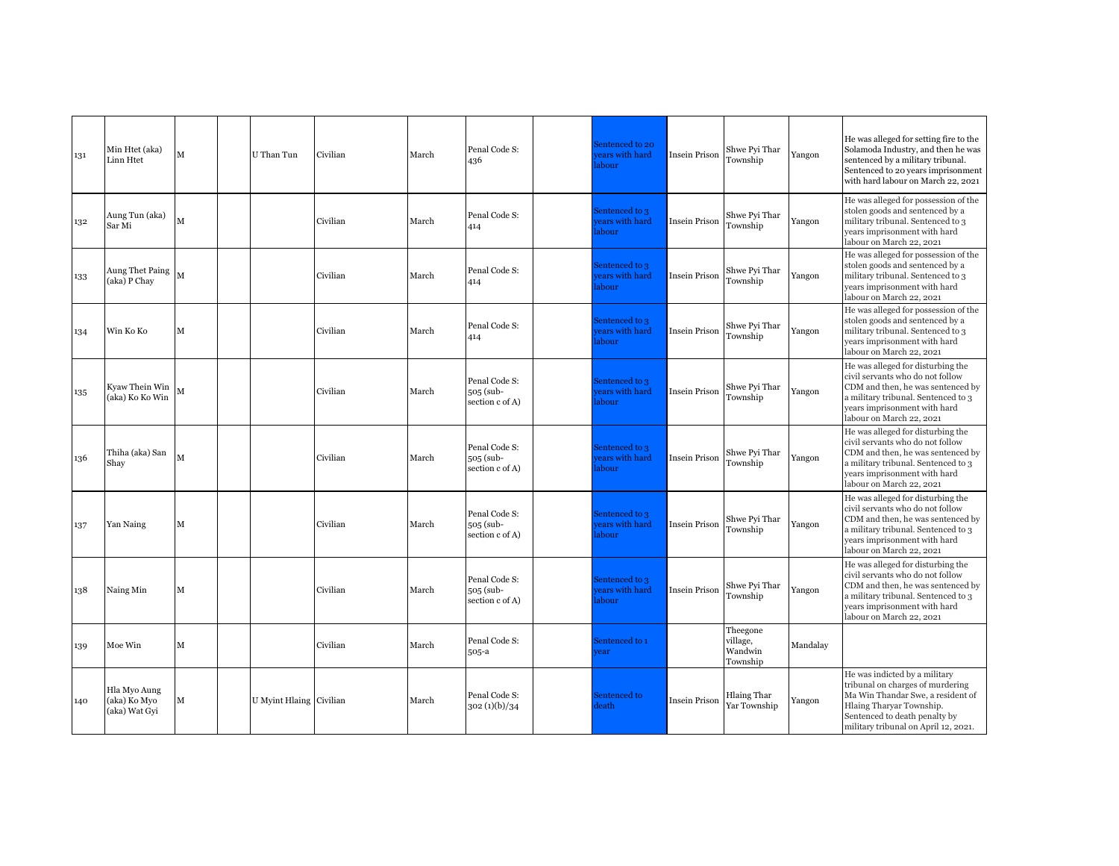| 131 | Min Htet (aka)<br>Linn Htet                   | М              | U Than Tun              | Civilian | March | Penal Code S:<br>436                          | Sentenced to 20<br>ears with hard<br>labour | <b>Insein Prison</b> | Shwe Pyi Thar<br>Township                   | Yangon   | He was alleged for setting fire to the<br>Solamoda Industry, and then he was<br>sentenced by a military tribunal.<br>Sentenced to 20 years imprisonment<br>with hard labour on March 22, 2021                 |
|-----|-----------------------------------------------|----------------|-------------------------|----------|-------|-----------------------------------------------|---------------------------------------------|----------------------|---------------------------------------------|----------|---------------------------------------------------------------------------------------------------------------------------------------------------------------------------------------------------------------|
| 132 | Aung Tun (aka)<br>Sar Mi                      | М              |                         | Civilian | March | Penal Code S:<br>414                          | Sentenced to 3<br>ears with hard<br>labour  | <b>Insein Prison</b> | Shwe Pyi Thar<br>Township                   | Yangon   | He was alleged for possession of the<br>stolen goods and sentenced by a<br>military tribunal. Sentenced to 3<br>years imprisonment with hard<br>labour on March 22, 2021                                      |
| 133 | Aung Thet Paing<br>(aka) P Chay               | $\overline{M}$ |                         | Civilian | March | Penal Code S:<br>414                          | Sentenced to 3<br>vears with hard<br>labour | Insein Prison        | Shwe Pyi Thar<br>Township                   | Yangon   | He was alleged for possession of the<br>stolen goods and sentenced by a<br>military tribunal. Sentenced to 3<br>years imprisonment with hard<br>labour on March 22, 2021                                      |
| 134 | Win Ko Ko                                     | М              |                         | Civilian | March | Penal Code S:<br>414                          | Sentenced to 3<br>vears with hard<br>abour  | Insein Prison        | Shwe Pyi Thar<br>Township                   | Yangon   | He was alleged for possession of the<br>stolen goods and sentenced by a<br>military tribunal. Sentenced to 3<br>years imprisonment with hard<br>labour on March 22, 2021                                      |
| 135 | Kyaw Thein Win<br>(aka) Ko Ko Win             | M              |                         | Civilian | March | Penal Code S:<br>505 (sub-<br>section c of A) | Sentenced to 3<br>ears with hard<br>labour  | <b>Insein Prison</b> | Shwe Pyi Thar<br>Township                   | Yangon   | He was alleged for disturbing the<br>civil servants who do not follow<br>CDM and then, he was sentenced by<br>a military tribunal. Sentenced to 3<br>years imprisonment with hard<br>labour on March 22, 2021 |
| 136 | Thiha (aka) San<br>Shay                       | M              |                         | Civilian | March | Penal Code S:<br>505 (sub-<br>section c of A) | Sentenced to 3<br>ears with hard<br>labour  | <b>Insein Prison</b> | Shwe Pyi Thar<br>Township                   | Yangon   | He was alleged for disturbing the<br>civil servants who do not follow<br>CDM and then, he was sentenced by<br>a military tribunal. Sentenced to 3<br>years imprisonment with hard<br>labour on March 22, 2021 |
| 137 | Yan Naing                                     | М              |                         | Civilian | March | Penal Code S:<br>505 (sub-<br>section c of A) | Sentenced to 3<br>ears with hard<br>labour  | Insein Prison        | Shwe Pyi Thar<br>Township                   | Yangon   | He was alleged for disturbing the<br>civil servants who do not follow<br>CDM and then, he was sentenced by<br>a military tribunal. Sentenced to 3<br>years imprisonment with hard<br>labour on March 22, 2021 |
| 138 | Naing Min                                     | M              |                         | Civilian | March | Penal Code S:<br>505 (sub-<br>section c of A) | Sentenced to 3<br>ears with hard<br>labour  | Insein Prison        | Shwe Pyi Thar<br>Township                   | Yangon   | He was alleged for disturbing the<br>civil servants who do not follow<br>CDM and then, he was sentenced by<br>a military tribunal. Sentenced to 3<br>years imprisonment with hard<br>labour on March 22, 2021 |
| 139 | Moe Win                                       | М              |                         | Civilian | March | Penal Code S:<br>505-a                        | Sentenced to 1<br><i>rear</i>               |                      | Theegone<br>village,<br>Wandwin<br>Township | Mandalay |                                                                                                                                                                                                               |
| 140 | Hla Myo Aung<br>(aka) Ko Myo<br>(aka) Wat Gvi | М              | U Myint Hlaing Civilian |          | March | Penal Code S:<br>302 (1)(b)/34                | Sentenced to<br>death                       | Insein Prison        | Hlaing Thar<br>Yar Township                 | Yangon   | He was indicted by a military<br>tribunal on charges of murdering<br>Ma Win Thandar Swe, a resident of<br>Hlaing Tharyar Township.<br>Sentenced to death penalty by<br>military tribunal on April 12, 2021.   |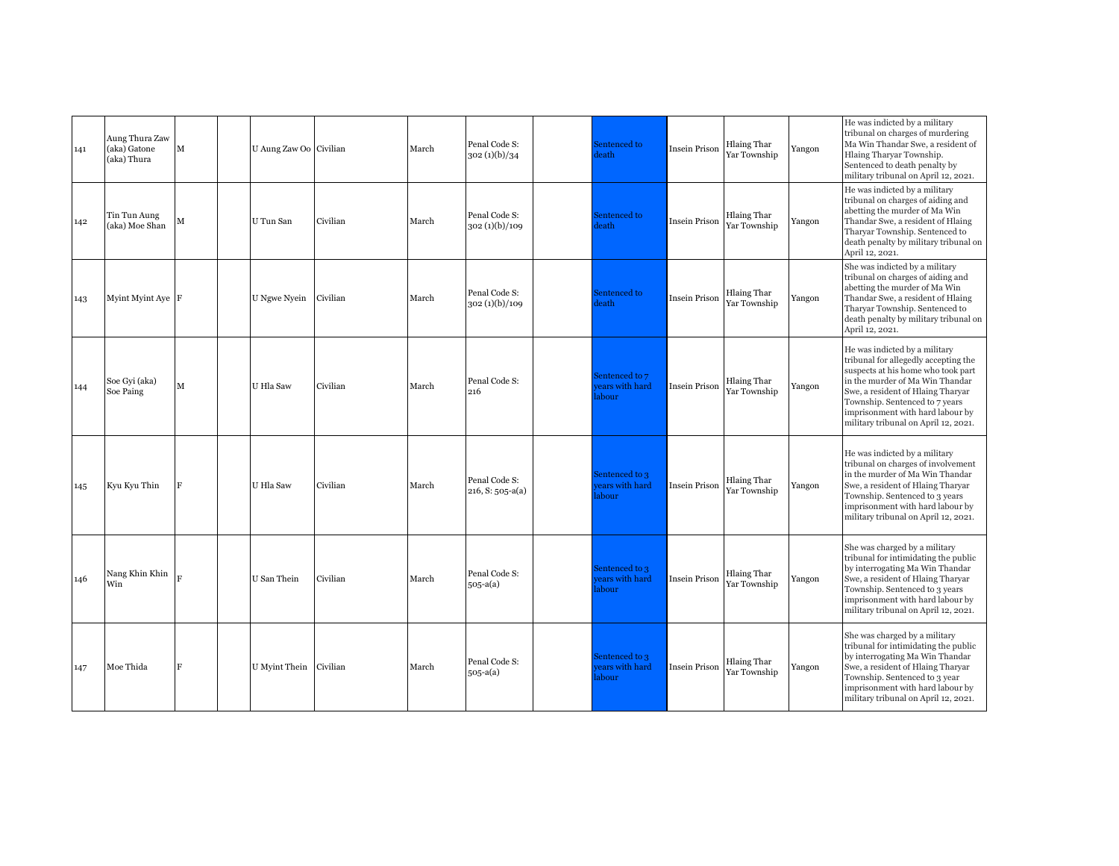| 141 | Aung Thura Zaw<br>(aka) Gatone<br>(aka) Thura | м            | U Aung Zaw Oo Civilian |          | March | Penal Code S:<br>302 (1)(b)/34      | Sentenced to<br>leath                      | <b>Insein Prison</b> | <b>Hlaing Thar</b><br>Yar Township | Yangon | He was indicted by a military<br>tribunal on charges of murdering<br>Ma Win Thandar Swe, a resident of<br>Hlaing Tharyar Township.<br>Sentenced to death penalty by<br>military tribunal on April 12, 2021.                                                                                       |
|-----|-----------------------------------------------|--------------|------------------------|----------|-------|-------------------------------------|--------------------------------------------|----------------------|------------------------------------|--------|---------------------------------------------------------------------------------------------------------------------------------------------------------------------------------------------------------------------------------------------------------------------------------------------------|
| 142 | Tin Tun Aung<br>(aka) Moe Shan                |              | U Tun San              | Civilian | March | Penal Code S:<br>302 (1)(b)/109     | Sentenced to<br>leath                      | <b>Insein Prison</b> | <b>Hlaing Thar</b><br>Yar Township | Yangon | He was indicted by a military<br>tribunal on charges of aiding and<br>abetting the murder of Ma Win<br>Thandar Swe, a resident of Hlaing<br>Tharyar Township. Sentenced to<br>death penalty by military tribunal on<br>April 12, 2021.                                                            |
| 143 | Myint Myint Aye F                             |              | U Ngwe Nyein           | Civilian | March | Penal Code S:<br>302 (1)(b)/109     | Sentenced to<br>leath                      | <b>Insein Prison</b> | <b>Hlaing Thar</b><br>Yar Township | Yangon | She was indicted by a military<br>tribunal on charges of aiding and<br>abetting the murder of Ma Win<br>Thandar Swe, a resident of Hlaing<br>Tharyar Township. Sentenced to<br>death penalty by military tribunal on<br>April 12, 2021.                                                           |
| 144 | Soe Gyi (aka)<br>Soe Paing                    | М            | <b>U Hla Saw</b>       | Civilian | March | Penal Code S:<br>216                | Sentenced to 7<br>ears with hard<br>labour | <b>Insein Prison</b> | <b>Hlaing Thar</b><br>Yar Township | Yangon | He was indicted by a military<br>tribunal for allegedly accepting the<br>suspects at his home who took part<br>in the murder of Ma Win Thandar<br>Swe, a resident of Hlaing Tharyar<br>Township. Sentenced to 7 years<br>imprisonment with hard labour by<br>military tribunal on April 12, 2021. |
| 145 | Kyu Kyu Thin                                  |              | U Hla Saw              | Civilian | March | Penal Code S:<br>$216, S: 505-a(a)$ | Sentenced to 3<br>ears with hard<br>labour | <b>Insein Prison</b> | <b>Hlaing Thar</b><br>Yar Township | Yangon | He was indicted by a military<br>tribunal on charges of involvement<br>in the murder of Ma Win Thandar<br>Swe, a resident of Hlaing Tharyar<br>Township. Sentenced to 3 years<br>imprisonment with hard labour by<br>military tribunal on April 12, 2021.                                         |
| 146 | Nang Khin Khin<br>Win                         |              | U San Thein            | Civilian | March | Penal Code S:<br>505-a(a)           | sentenced to 3<br>ears with hard<br>labour | <b>Insein Prison</b> | <b>Hlaing Thar</b><br>Yar Township | Yangon | She was charged by a military<br>tribunal for intimidating the public<br>by interrogating Ma Win Thandar<br>Swe, a resident of Hlaing Tharyar<br>Township. Sentenced to 3 years<br>imprisonment with hard labour by<br>military tribunal on April 12, 2021.                                       |
| 147 | Moe Thida                                     | $\mathbf{E}$ | U Myint Thein          | Civilian | March | Penal Code S:<br>505-a(a)           | Sentenced to 3<br>ears with hard<br>labour | <b>Insein Prison</b> | <b>Hlaing Thar</b><br>Yar Township | Yangon | She was charged by a military<br>tribunal for intimidating the public<br>by interrogating Ma Win Thandar<br>Swe, a resident of Hlaing Tharyar<br>Township. Sentenced to 3 year<br>imprisonment with hard labour by<br>military tribunal on April 12, 2021.                                        |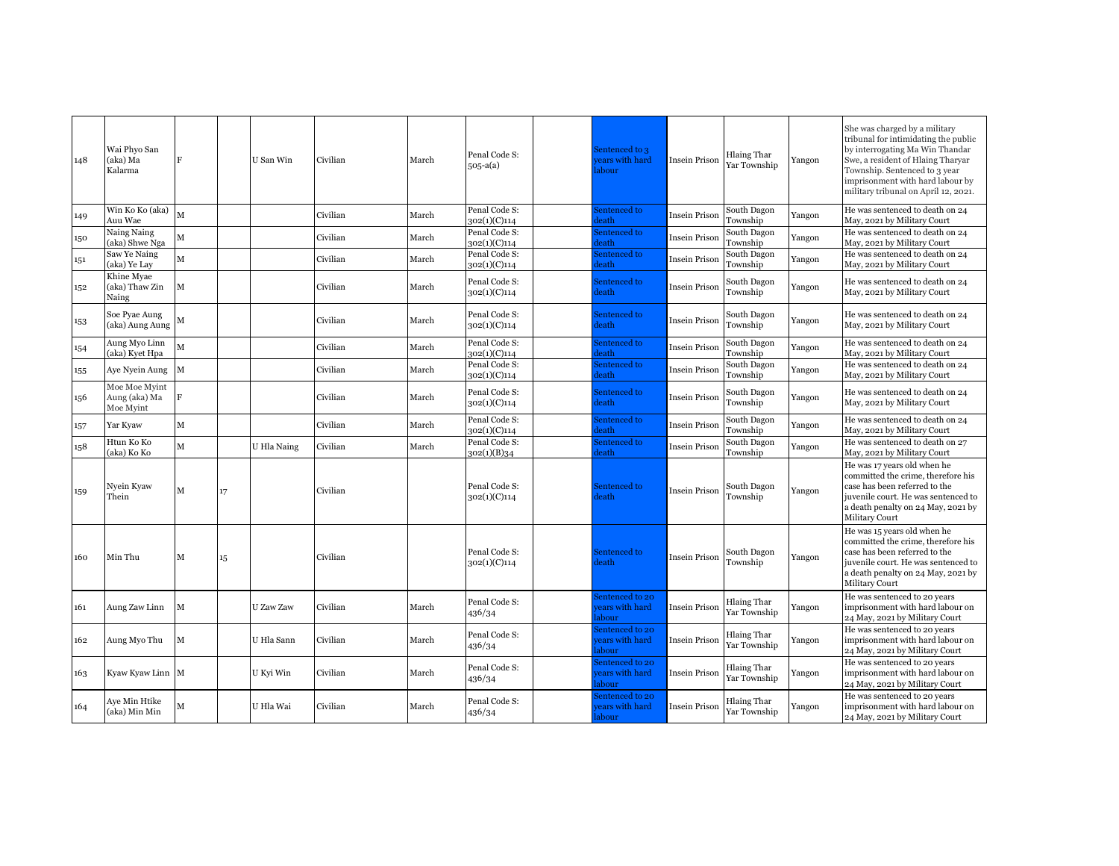| 148 | Wai Phyo San<br>(aka) Ma<br>Kalarma         | F            |    | U San Win   | Civilian | March | Penal Code S:<br>505-a(a)     | Sentenced to 3<br>ears with hard<br>labour  | Insein Prison        | <b>Hlaing Thar</b><br>Yar Township | Yangon | She was charged by a military<br>tribunal for intimidating the public<br>by interrogating Ma Win Thandar<br>Swe, a resident of Hlaing Tharyar<br>Township. Sentenced to 3 year<br>imprisonment with hard labour by<br>military tribunal on April 12, 2021. |
|-----|---------------------------------------------|--------------|----|-------------|----------|-------|-------------------------------|---------------------------------------------|----------------------|------------------------------------|--------|------------------------------------------------------------------------------------------------------------------------------------------------------------------------------------------------------------------------------------------------------------|
| 149 | Win Ko Ko (aka)<br>Auu Wae                  | M            |    |             | Civilian | March | Penal Code S:<br>302(1)(C)114 | Sentenced to<br>leath                       | Insein Prison        | South Dagon<br>Township            | Yangon | He was sentenced to death on 24<br>May, 2021 by Military Court                                                                                                                                                                                             |
| 150 | Naing Naing<br>(aka) Shwe Nga               | M            |    |             | Civilian | March | Penal Code S:<br>302(1)(C)114 | sentenced to<br>leath                       | <b>Insein Prison</b> | South Dagon<br>Township            | Yangon | He was sentenced to death on 24<br>May, 2021 by Military Court                                                                                                                                                                                             |
| 151 | Saw Ye Naing<br>(aka) Ye Lay                | $\mathbf{M}$ |    |             | Civilian | March | Penal Code S:<br>302(1)(C)114 | Sentenced to<br>leath                       | Insein Prison        | South Dagon<br>Township            | Yangon | He was sentenced to death on 24<br>May, 2021 by Military Court                                                                                                                                                                                             |
| 152 | Khine Myae<br>(aka) Thaw Zin<br>Naing       | M            |    |             | Civilian | March | Penal Code S:<br>302(1)(C)114 | Sentenced to<br><b>leath</b>                | Insein Prison        | South Dagon<br>Township            | Yangon | He was sentenced to death on 24<br>May, 2021 by Military Court                                                                                                                                                                                             |
| 153 | Soe Pyae Aung<br>(aka) Aung Aung            | M            |    |             | Civilian | March | Penal Code S:<br>302(1)(C)114 | Sentenced to<br>leath                       | <b>Insein Prison</b> | South Dagon<br>Township            | Yangon | He was sentenced to death on 24<br>May, 2021 by Military Court                                                                                                                                                                                             |
| 154 | Aung Myo Linn<br>(aka) Kyet Hpa             | М            |    |             | Civilian | March | Penal Code S:<br>302(1)(C)114 | sentenced to<br>leath                       | Insein Prison        | South Dagon<br>Township            | Yangon | He was sentenced to death on 24<br>May, 2021 by Military Court                                                                                                                                                                                             |
| 155 | Aye Nyein Aung                              | $\mathbf M$  |    |             | Civilian | March | Penal Code S:<br>302(1)(C)114 | Sentenced to<br>leath                       | Insein Prison        | South Dagon<br>Township            | Yangon | He was sentenced to death on 24<br>May, 2021 by Military Court                                                                                                                                                                                             |
| 156 | Moe Moe Mvint<br>Aung (aka) Ma<br>Moe Myint | F            |    |             | Civilian | March | Penal Code S:<br>302(1)(C)114 | Sentenced to<br>leath                       | <b>Insein Prison</b> | South Dagon<br>Township            | Yangon | He was sentenced to death on 24<br>May, 2021 by Military Court                                                                                                                                                                                             |
| 157 | Yar Kyaw                                    | M            |    |             | Civilian | March | Penal Code S:<br>302(1)(C)114 | Sentenced to<br>leath                       | Insein Prison        | South Dagon<br>Township            | Yangon | He was sentenced to death on 24<br>May, 2021 by Military Court                                                                                                                                                                                             |
| 158 | Htun Ko Ko<br>(aka) Ko Ko                   | М            |    | U Hla Naing | Civilian | March | Penal Code S:<br>302(1)(B)34  | Sentenced to<br>leath                       | Insein Prison        | South Dagon<br>Township            | Yangon | He was sentenced to death on 27<br>May, 2021 by Military Court                                                                                                                                                                                             |
| 159 | Nyein Kyaw<br>Thein                         | M            | 17 |             | Civilian |       | Penal Code S:<br>302(1)(C)114 | Sentenced to<br>leath                       | Insein Prison        | South Dagon<br>Township            | Yangon | He was 17 years old when he<br>committed the crime, therefore his<br>case has been referred to the<br>juvenile court. He was sentenced to<br>a death penalty on 24 May, 2021 by<br>Military Court                                                          |
| 160 | Min Thu                                     | M            | 15 |             | Civilian |       | Penal Code S:<br>302(1)(C)114 | Sentenced to<br>leath                       | Insein Prison        | South Dagon<br>Township            | Yangon | He was 15 years old when he<br>committed the crime, therefore his<br>case has been referred to the<br>juvenile court. He was sentenced to<br>a death penalty on 24 May, 2021 by<br><b>Military Court</b>                                                   |
| 161 | Aung Zaw Linn                               | M            |    | U Zaw Zaw   | Civilian | March | Penal Code S:<br>436/34       | Sentenced to 20<br>ears with hard<br>abour  | Insein Prison        | Hlaing Thar<br>Yar Township        | Yangon | He was sentenced to 20 years<br>imprisonment with hard labour on<br>24 May, 2021 by Military Court                                                                                                                                                         |
| 162 | Aung Myo Thu                                | $\mathbf M$  |    | U Hla Sann  | Civilian | March | Penal Code S:<br>436/34       | Sentenced to 20<br>vears with hard<br>abour | Insein Prison        | Hlaing Thar<br>Yar Township        | Yangon | He was sentenced to 20 years<br>imprisonment with hard labour on<br>24 May, 2021 by Military Court                                                                                                                                                         |
| 163 | Kyaw Kyaw Linn M                            |              |    | U Kyi Win   | Civilian | March | Penal Code S:<br>436/34       | Sentenced to 20<br>ears with hard<br>abour  | <b>Insein Prison</b> | Hlaing Thar<br>Yar Township        | Yangon | He was sentenced to 20 years<br>imprisonment with hard labour on<br>24 May, 2021 by Military Court                                                                                                                                                         |
| 164 | Aye Min Htike<br>(aka) Min Min              | M            |    | U Hla Wai   | Civilian | March | Penal Code S:<br>436/34       | entenced to 20<br>ears with hard<br>labour  | <b>Insein Prison</b> | Hlaing Thar<br>Yar Township        | Yangon | He was sentenced to 20 years<br>imprisonment with hard labour on<br>24 May, 2021 by Military Court                                                                                                                                                         |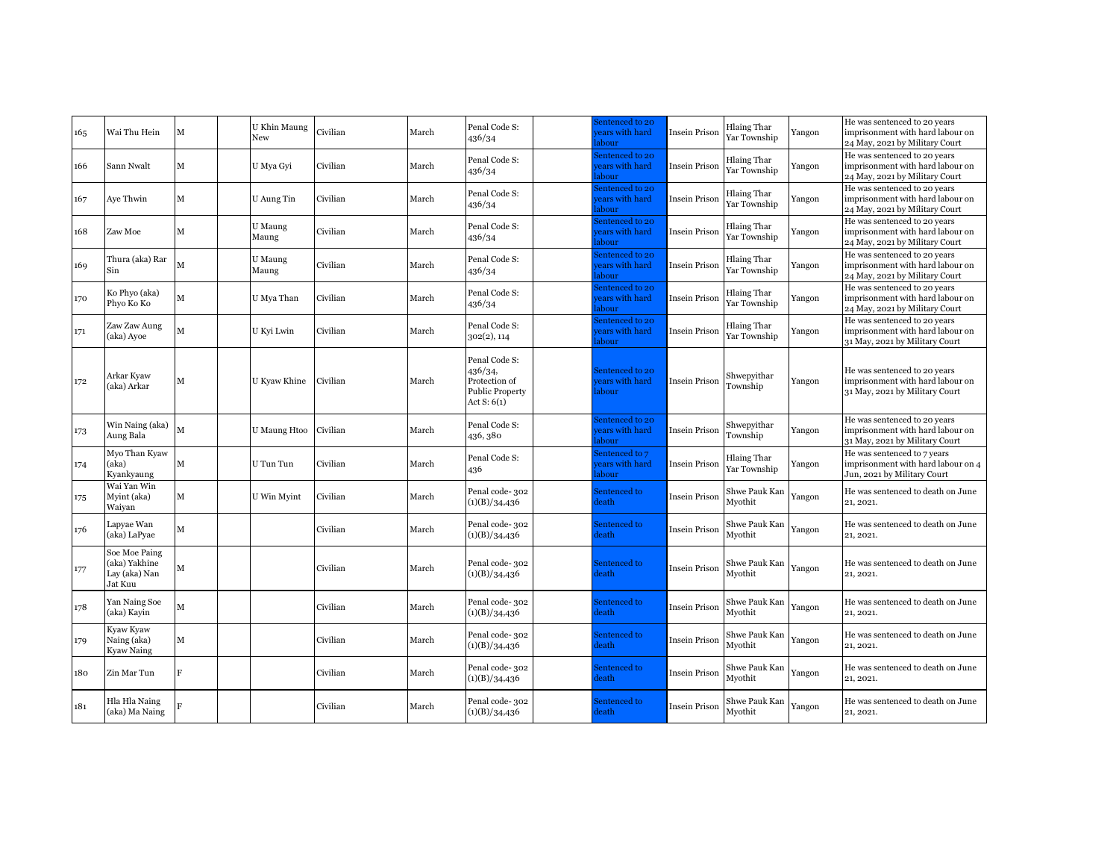| 165 | Wai Thu Hein                                               | M | U Khin Maung<br>New | Civilian | March | Penal Code S:<br>436/34                                                       | entenced to 20<br>ears with hard<br>abour  | <b>Insein Prison</b> | <b>Hlaing Thar</b><br>Yar Township | Yangon | He was sentenced to 20 years<br>imprisonment with hard labour on<br>24 May, 2021 by Military Court |
|-----|------------------------------------------------------------|---|---------------------|----------|-------|-------------------------------------------------------------------------------|--------------------------------------------|----------------------|------------------------------------|--------|----------------------------------------------------------------------------------------------------|
| 166 | Sann Nwalt                                                 | M | U Mya Gyi           | Civilian | March | Penal Code S:<br>436/34                                                       | entenced to 20<br>ears with hard<br>abour  | <b>Insein Prison</b> | <b>Hlaing Thar</b><br>Yar Township | Yangon | He was sentenced to 20 years<br>imprisonment with hard labour on<br>24 May, 2021 by Military Court |
| 167 | Ave Thwin                                                  | M | U Aung Tin          | Civilian | March | Penal Code S:<br>436/34                                                       | entenced to 20<br>ears with hard<br>abour  | <b>Insein Prison</b> | Hlaing Thar<br>Yar Township        | Yangon | He was sentenced to 20 years<br>imprisonment with hard labour on<br>24 May, 2021 by Military Court |
| 168 | Zaw Moe                                                    | M | U Maung<br>Maung    | Civilian | March | Penal Code S:<br>436/34                                                       | entenced to 20<br>ears with hard<br>abour  | <b>Insein Prison</b> | Hlaing Thar<br>Yar Township        | Yangon | He was sentenced to 20 years<br>imprisonment with hard labour on<br>24 May, 2021 by Military Court |
| 169 | Thura (aka) Rar<br>Sin                                     | M | U Maung<br>Maung    | Civilian | March | Penal Code S:<br>436/34                                                       | entenced to 20<br>ears with hard<br>abour  | <b>Insein Prison</b> | <b>Hlaing Thar</b><br>Yar Township | Yangon | He was sentenced to 20 years<br>imprisonment with hard labour on<br>24 May, 2021 by Military Court |
| 170 | Ko Phyo (aka)<br>Phyo Ko Ko                                | М | U Mya Than          | Civilian | March | Penal Code S:<br>436/34                                                       | entenced to 20<br>ears with hard<br>abour  | <b>Insein Prison</b> | Hlaing Thar<br>Yar Township        | Yangon | He was sentenced to 20 years<br>imprisonment with hard labour on<br>24 May, 2021 by Military Court |
| 171 | Zaw Zaw Aung<br>(aka) Ayoe                                 | M | U Kyi Lwin          | Civilian | March | Penal Code S:<br>302(2), 114                                                  | entenced to 20<br>ears with hard<br>abour  | <b>Insein Prison</b> | Hlaing Thar<br>Yar Township        | Yangon | He was sentenced to 20 years<br>imprisonment with hard labour on<br>31 May, 2021 by Military Court |
| 172 | Arkar Kvaw<br>(aka) Arkar                                  | M | U Kyaw Khine        | Civilian | March | Penal Code S:<br>436/34,<br>Protection of<br>Public Property<br>Act $S: 6(1)$ | Sentenced to 20<br>ears with hard<br>abour | <b>Insein Prison</b> | Shwepyithar<br>Township            | Yangon | He was sentenced to 20 years<br>imprisonment with hard labour on<br>31 May, 2021 by Military Court |
| 173 | Win Naing (aka)<br>Aung Bala                               | м | <b>U</b> Maung Htoo | Civilian | March | Penal Code S:<br>436, 380                                                     | entenced to 20<br>ears with hard<br>abour  | <b>Insein Prison</b> | Shwepyithar<br>Township            | Yangon | He was sentenced to 20 years<br>imprisonment with hard labour on<br>31 May, 2021 by Military Court |
| 174 | Myo Than Kyaw<br>(aka)<br>Kyankyaung                       | M | U Tun Tun           | Civilian | March | Penal Code S:<br>436                                                          | entenced to 7<br>ears with hard<br>abour   | <b>Insein Prison</b> | Hlaing Thar<br>Yar Township        | Yangon | He was sentenced to 7 years<br>imprisonment with hard labour on 4<br>Jun, 2021 by Military Court   |
| 175 | Wai Yan Win<br>Myint (aka)<br>Waiyan                       | M | U Win Myint         | Civilian | March | Penal code-302<br>(1)(B)/34,436                                               | entenced to<br>leath                       | <b>Insein Prison</b> | Shwe Pauk Kan<br>Myothit           | Yangon | He was sentenced to death on June<br>21, 2021.                                                     |
| 176 | Lapyae Wan<br>(aka) LaPyae                                 | M |                     | Civilian | March | Penal code-302<br>(1)(B)/34,436                                               | Sentenced to<br>leath                      | <b>Insein Prison</b> | Shwe Pauk Kan<br>Myothit           | Yangon | He was sentenced to death on June<br>21, 2021.                                                     |
| 177 | Soe Moe Paing<br>(aka) Yakhine<br>Lay (aka) Nan<br>Jat Kuu | M |                     | Civilian | March | Penal code-302<br>(1)(B)/34,436                                               | Sentenced to<br>leath                      | <b>Insein Prison</b> | Shwe Pauk Kan<br>Myothit           | Yangon | He was sentenced to death on June<br>21, 2021.                                                     |
| 178 | Yan Naing Soe<br>(aka) Kayin                               | M |                     | Civilian | March | Penal code-302<br>(1)(B)/34,436                                               | Sentenced to<br>leath                      | <b>Insein Prison</b> | Shwe Pauk Kan<br>Myothit           | Yangon | He was sentenced to death on June<br>21, 2021.                                                     |
| 179 | Kyaw Kyaw<br>Naing (aka)<br>Kyaw Naing                     | M |                     | Civilian | March | Penal code- 302<br>(1)(B)/34,436                                              | Sentenced to<br>leath                      | <b>Insein Prison</b> | Shwe Pauk Kan<br>Myothit           | Yangon | He was sentenced to death on June<br>21, 2021.                                                     |
| 180 | Zin Mar Tun                                                | F |                     | Civilian | March | Penal code-302<br>(1)(B)/34,436                                               | Sentenced to<br>leath                      | <b>Insein Prison</b> | Shwe Pauk Kan<br>Myothit           | Yangon | He was sentenced to death on June<br>21, 2021.                                                     |
| 181 | Hla Hla Naing<br>(aka) Ma Naing                            |   |                     | Civilian | March | Penal code- 302<br>(1)(B)/34,436                                              | Sentenced to<br>leath                      | <b>Insein Prison</b> | Shwe Pauk Kan<br>Myothit           | Yangon | He was sentenced to death on June<br>21, 2021.                                                     |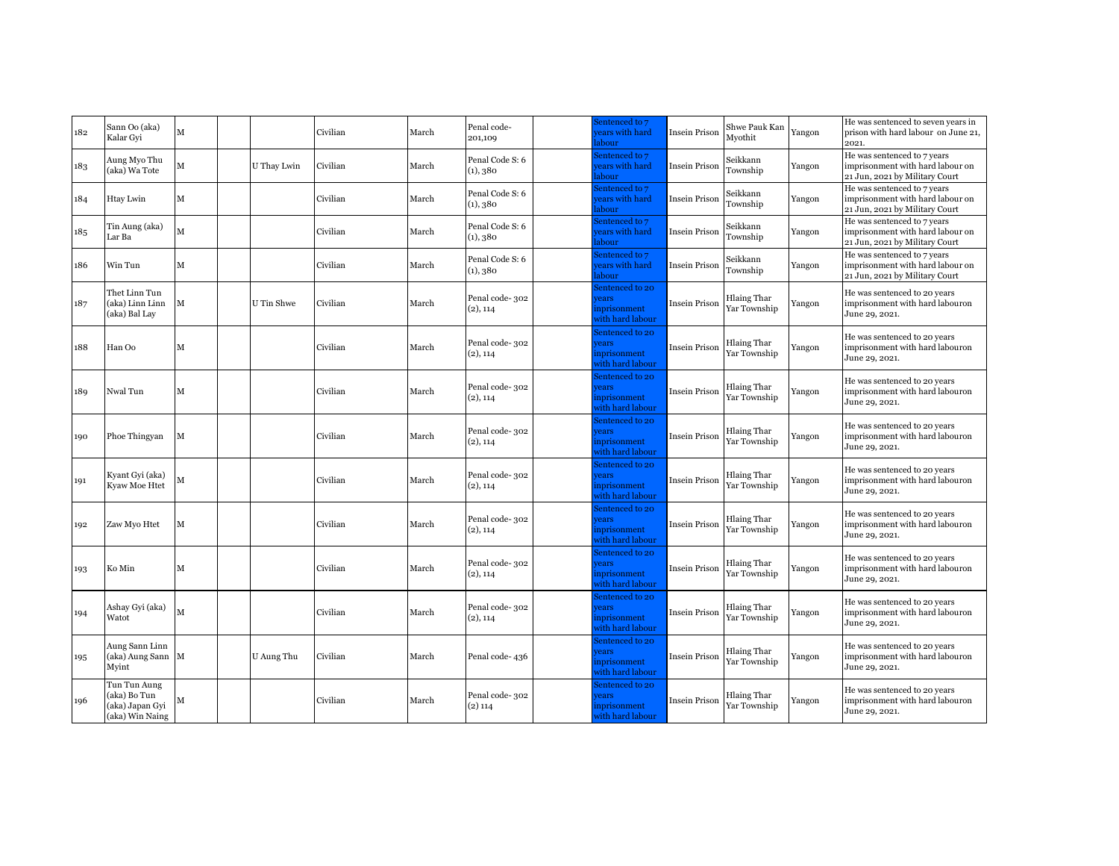| 182 | Sann Oo (aka)<br>Kalar Gvi                                         | $\mathbf M$ |             | Civilian | March | Penal code-<br>201,109      | Sentenced to 7<br>ears with hard<br>abour                          | Insein Prison        | Shwe Pauk Kan<br>Myothit           | Yangon | He was sentenced to seven years in<br>prison with hard labour on June 21,<br>2021.                |
|-----|--------------------------------------------------------------------|-------------|-------------|----------|-------|-----------------------------|--------------------------------------------------------------------|----------------------|------------------------------------|--------|---------------------------------------------------------------------------------------------------|
| 183 | Aung Myo Thu<br>(aka) Wa Tote                                      | М           | U Thay Lwin | Civilian | March | Penal Code S: 6<br>(1), 380 | entenced to 7<br>ears with hard<br>abour                           | Insein Prison        | Seikkann<br>Township               | Yangon | He was sentenced to 7 years<br>imprisonment with hard labour on<br>21 Jun, 2021 by Military Court |
| 184 | Htay Lwin                                                          | М           |             | Civilian | March | Penal Code S: 6<br>(1), 380 | Sentenced to 7<br>ears with hard<br>abour                          | Insein Prison        | Seikkann<br>Township               | Yangon | He was sentenced to 7 years<br>imprisonment with hard labour on<br>21 Jun, 2021 by Military Court |
| 185 | Tin Aung (aka)<br>Lar Ba                                           | M           |             | Civilian | March | Penal Code S: 6<br>(1), 380 | Sentenced to 7<br>ears with hard<br>abour                          | <b>Insein Prison</b> | Seikkann<br>Township               | Yangon | He was sentenced to 7 years<br>imprisonment with hard labour on<br>21 Jun, 2021 by Military Court |
| 186 | Win Tun                                                            | M           |             | Civilian | March | Penal Code S: 6<br>(1), 380 | Sentenced to 7<br>ears with hard<br>abour                          | Insein Prison        | Seikkann<br>Township               | Yangon | He was sentenced to 7 years<br>imprisonment with hard labour on<br>21 Jun, 2021 by Military Court |
| 187 | Thet Linn Tun<br>(aka) Linn Linn<br>(aka) Bal Lay                  | $\mathbf M$ | U Tin Shwe  | Civilian | March | Penal code-302<br>(2), 114  | Sentenced to 20<br>ears<br>nprisonment<br>vith hard labour         | <b>Insein Prison</b> | Hlaing Thar<br>Yar Township        | Yangon | He was sentenced to 20 years<br>imprisonment with hard labouron<br>June 29, 2021.                 |
| 188 | Han Oo                                                             | M           |             | Civilian | March | Penal code-302<br>(2), 114  | entenced to 20<br>rears<br>inprisonment<br>vith hard labour        | Insein Prison        | <b>Hlaing Thar</b><br>Yar Township | Yangon | He was sentenced to 20 years<br>imprisonment with hard labouron<br>June 29, 2021.                 |
| 189 | Nwal Tun                                                           | М           |             | Civilian | March | Penal code-302<br>(2), 114  | entenced to 20<br>ears<br>nprisonment<br>vith hard labour          | Insein Prison        | Hlaing Thar<br>Yar Township        | Yangon | He was sentenced to 20 years<br>imprisonment with hard labouron<br>June 29, 2021.                 |
| 190 | Phoe Thingyan                                                      | $\mathbf M$ |             | Civilian | March | Penal code-302<br>(2), 114  | entenced to 20<br><b>rears</b><br>inprisonment<br>vith hard labour | Insein Prison        | Hlaing Thar<br>Yar Township        | Yangon | He was sentenced to 20 years<br>imprisonment with hard labouron<br>June 29, 2021.                 |
| 191 | Kyant Gyi (aka)<br>Kyaw Moe Htet                                   | М           |             | Civilian | March | Penal code-302<br>(2), 114  | entenced to 20<br>rears<br>nprisonment<br>vith hard labour         | Insein Prison        | Hlaing Thar<br>Yar Township        | Yangon | He was sentenced to 20 years<br>imprisonment with hard labouron<br>June 29, 2021.                 |
| 192 | Zaw Myo Htet                                                       | M           |             | Civilian | March | Penal code-302<br>(2), 114  | entenced to 20<br>ears<br>inprisonment<br>vith hard labour         | Insein Prison        | <b>Hlaing Thar</b><br>Yar Township | Yangon | He was sentenced to 20 years<br>imprisonment with hard labouron<br>June 29, 2021.                 |
| 193 | Ko Min                                                             | M           |             | Civilian | March | Penal code-302<br>(2), 114  | entenced to 20<br><b>rears</b><br>nprisonment<br>vith hard labour  | Insein Prison        | <b>Hlaing Thar</b><br>Yar Township | Yangon | He was sentenced to 20 years<br>imprisonment with hard labouron<br>June 29, 2021.                 |
| 194 | Ashay Gyi (aka)<br>Watot                                           | M           |             | Civilian | March | Penal code-302<br>(2), 114  | entenced to 20<br>ears<br>nprisonment<br>vith hard labour          | Insein Prison        | <b>Hlaing Thar</b><br>Yar Township | Yangon | He was sentenced to 20 years<br>imprisonment with hard labouron<br>June 29, 2021.                 |
| 195 | Aung Sann Linn<br>(aka) Aung Sann M<br>Myint                       |             | U Aung Thu  | Civilian | March | Penal code-436              | entenced to 20<br>ears<br>nprisonment<br>vith hard labour          | <b>Insein Prison</b> | Hlaing Thar<br>Yar Township        | Yangon | He was sentenced to 20 years<br>imprisonment with hard labouron<br>June 29, 2021.                 |
| 196 | Tun Tun Aung<br>(aka) Bo Tun<br>(aka) Japan Gyi<br>(aka) Win Naing | М           |             | Civilian | March | Penal code-302<br>(2) 114   | entenced to 20<br>ears<br>inprisonment<br>with hard labour         | Insein Prison        | Hlaing Thar<br>Yar Township        | Yangon | He was sentenced to 20 years<br>imprisonment with hard labouron<br>June 29, 2021.                 |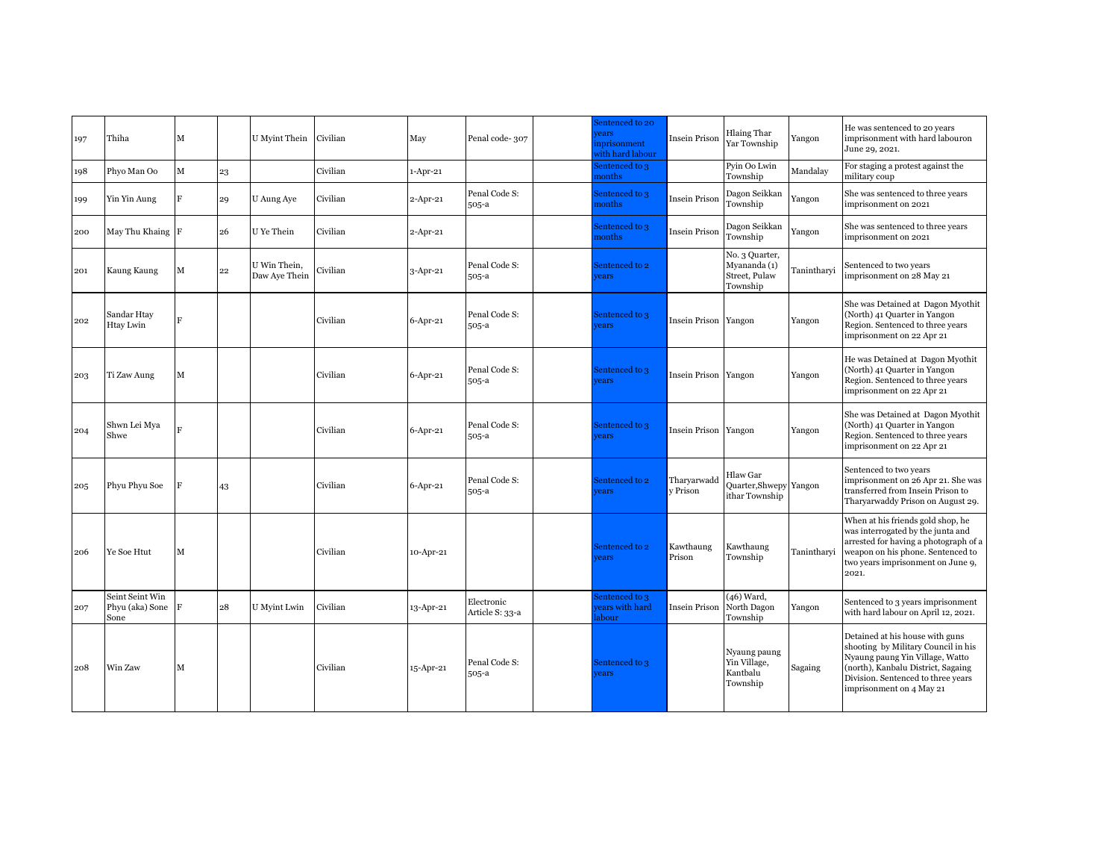| 197 | Thiha                                      | М |              | U Myint Thein Civilian        |          | May            | Penal code-307                | Sentenced to 20<br>ears<br>nprisonment<br>vith hard labour | <b>Insein Prison</b>    | Hlaing Thar<br>Yar Township                                 | Yangon      | He was sentenced to 20 years<br>imprisonment with hard labouron<br>June 29, 2021.                                                                                                                                 |
|-----|--------------------------------------------|---|--------------|-------------------------------|----------|----------------|-------------------------------|------------------------------------------------------------|-------------------------|-------------------------------------------------------------|-------------|-------------------------------------------------------------------------------------------------------------------------------------------------------------------------------------------------------------------|
| 198 | Phyo Man Oo                                | M | 23           |                               | Civilian | 1-Apr-21       |                               | Sentenced to 3<br>nonths                                   |                         | Pyin Oo Lwin<br>Township                                    | Mandalay    | For staging a protest against the<br>military coup                                                                                                                                                                |
| 199 | Yin Yin Aung                               | F | 29           | U Aung Aye                    | Civilian | 2-Apr-21       | Penal Code S:<br>505-a        | Sentenced to 3<br>months                                   | Insein Prison           | Dagon Seikkan<br>Township                                   | Yangon      | She was sentenced to three years<br>imprisonment on 2021                                                                                                                                                          |
| 200 | May Thu Khaing F                           |   | 26           | U Ye Thein                    | Civilian | $2$ -Apr-21    |                               | Sentenced to 3<br>nonths                                   | Insein Prison           | Dagon Seikkan<br>Township                                   | Yangon      | She was sentenced to three years<br>imprisonment on 2021                                                                                                                                                          |
| 201 | Kaung Kaung                                | М | $\bf{^{22}}$ | U Win Thein.<br>Daw Aye Thein | Civilian | $3-Apr-21$     | Penal Code S:<br>505-a        | Sentenced to 2<br>rears                                    |                         | No. 3 Quarter,<br>Myananda (1)<br>Street, Pulaw<br>Township | Tanintharyi | Sentenced to two years<br>imprisonment on 28 May 21                                                                                                                                                               |
| 202 | Sandar Htav<br>Htay Lwin                   | F |              |                               | Civilian | $6$ -Apr-21    | Penal Code S:<br>505-a        | Sentenced to 3<br>ears                                     | Insein Prison Yangon    |                                                             | Yangon      | She was Detained at Dagon Myothit<br>(North) 41 Quarter in Yangon<br>Region. Sentenced to three years<br>imprisonment on 22 Apr 21                                                                                |
| 203 | Ti Zaw Aung                                | M |              |                               | Civilian | $6 - Apr - 21$ | Penal Code S:<br>505-a        | Sentenced to 3<br>ears                                     | Insein Prison Yangon    |                                                             | Yangon      | He was Detained at Dagon Myothit<br>(North) 41 Quarter in Yangon<br>Region. Sentenced to three years<br>imprisonment on 22 Apr 21                                                                                 |
| 204 | Shwn Lei Mya<br>Shwe                       | R |              |                               | Civilian | $6-Apr-21$     | Penal Code S:<br>505-a        | Sentenced to 3<br>ears                                     | Insein Prison Yangon    |                                                             | Yangon      | She was Detained at Dagon Myothit<br>(North) 41 Quarter in Yangon<br>Region. Sentenced to three years<br>imprisonment on 22 Apr 21                                                                                |
| 205 | Phyu Phyu Soe                              | F | 43           |                               | Civilian | $6$ -Apr-21    | Penal Code S:<br>505-a        | Sentenced to 2<br>ears                                     | Tharvarwadd<br>v Prison | <b>Hlaw Gar</b><br>Quarter, Shwepy Yangon<br>ithar Township |             | Sentenced to two years<br>imprisonment on 26 Apr 21. She was<br>transferred from Insein Prison to<br>Tharyarwaddy Prison on August 29.                                                                            |
| 206 | Ye Soe Htut                                | M |              |                               | Civilian | 10-Apr-21      |                               | Sentenced to 2<br>ears                                     | Kawthaung<br>Prison     | Kawthaung<br>Township                                       | Tanintharyi | When at his friends gold shop, he<br>was interrogated by the junta and<br>arrested for having a photograph of a<br>weapon on his phone. Sentenced to<br>two years imprisonment on June 9,<br>2021.                |
| 207 | Seint Seint Win<br>Phyu (aka) Sone<br>Sone | F | 28           | U Myint Lwin                  | Civilian | 13-Apr-21      | Electronic<br>Article S: 33-a | Sentenced to 3<br>ears with hard<br>abour                  | <b>Insein Prison</b>    | (46) Ward,<br>North Dagon<br>Township                       | Yangon      | Sentenced to 3 years imprisonment<br>with hard labour on April 12, 2021.                                                                                                                                          |
| 208 | Win Zaw                                    | M |              |                               | Civilian | 15-Apr-21      | Penal Code S:<br>505-a        | Sentenced to 3<br>rears                                    |                         | Nyaung paung<br>Yin Village,<br>Kantbalu<br>Township        | Sagaing     | Detained at his house with guns<br>shooting by Military Council in his<br>Nyaung paung Yin Village, Watto<br>(north), Kanbalu District, Sagaing<br>Division. Sentenced to three years<br>imprisonment on 4 May 21 |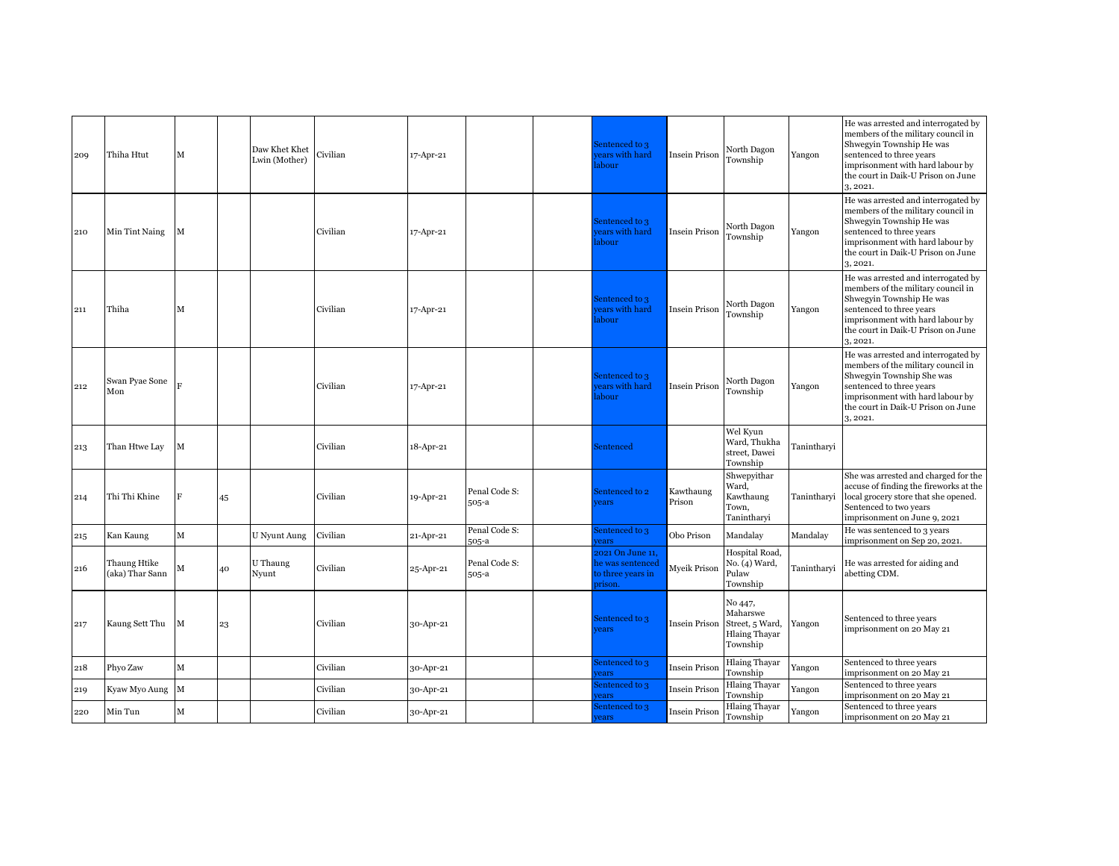| 209 | Thiha Htut                      | M |    | Daw Khet Khet<br>Lwin (Mother) | Civilian | 17-Apr-21 |                        | Sentenced to 3<br>ears with hard<br>abour                           | <b>Insein Prison</b> | North Dagon<br>Township                                                    | Yangon      | He was arrested and interrogated by<br>members of the military council in<br>Shwegyin Township He was<br>sentenced to three years<br>imprisonment with hard labour by<br>the court in Daik-U Prison on June<br>3, 2021.  |
|-----|---------------------------------|---|----|--------------------------------|----------|-----------|------------------------|---------------------------------------------------------------------|----------------------|----------------------------------------------------------------------------|-------------|--------------------------------------------------------------------------------------------------------------------------------------------------------------------------------------------------------------------------|
| 210 | Min Tint Naing                  | м |    |                                | Civilian | 17-Apr-21 |                        | Sentenced to 3<br>ears with hard<br>abour                           | <b>Insein Prison</b> | North Dagon<br>Township                                                    | Yangon      | He was arrested and interrogated by<br>members of the military council in<br>Shwegyin Township He was<br>sentenced to three years<br>imprisonment with hard labour by<br>the court in Daik-U Prison on June<br>3, 2021.  |
| 211 | Thiha                           | M |    |                                | Civilian | 17-Apr-21 |                        | Sentenced to 3<br>ears with hard<br>abour                           | <b>Insein Prison</b> | North Dagon<br>Township                                                    | Yangon      | He was arrested and interrogated by<br>members of the military council in<br>Shwegyin Township He was<br>sentenced to three years<br>imprisonment with hard labour by<br>the court in Daik-U Prison on June<br>3, 2021.  |
| 212 | Swan Pyae Sone<br>Mon           | F |    |                                | Civilian | 17-Apr-21 |                        | Sentenced to 3<br>ears with hard<br>abour                           | <b>Insein Prison</b> | North Dagon<br>Township                                                    | Yangon      | He was arrested and interrogated by<br>members of the military council in<br>Shwegyin Township She was<br>sentenced to three years<br>imprisonment with hard labour by<br>the court in Daik-U Prison on June<br>3, 2021. |
| 213 | Than Htwe Lay                   | М |    |                                | Civilian | 18-Apr-21 |                        | Sentenced                                                           |                      | Wel Kyun<br>Ward, Thukha<br>street, Dawei<br>Township                      | Tanintharyi |                                                                                                                                                                                                                          |
| 214 | Thi Thi Khine                   | F | 45 |                                | Civilian | 19-Apr-21 | Penal Code S:<br>505-a | Sentenced to 2<br>ears                                              | Kawthaung<br>Prison  | Shwepyithar<br>Ward,<br>Kawthaung<br>Town,<br>Tanintharyi                  | Tanintharvi | She was arrested and charged for the<br>accuse of finding the fireworks at the<br>local grocery store that she opened.<br>Sentenced to two years<br>imprisonment on June 9, 2021                                         |
| 215 | Kan Kaung                       | М |    | U Nyunt Aung                   | Civilian | 21-Apr-21 | Penal Code S:<br>505-a | Sentenced to 3<br>ears                                              | Obo Prison           | Mandalay                                                                   | Mandalay    | He was sentenced to 3 years<br>imprisonment on Sep 20, 2021.                                                                                                                                                             |
| 216 | Thaung Htike<br>(aka) Thar Sann | М | 40 | U Thaung<br>Nyunt              | Civilian | 25-Apr-21 | Penal Code S:<br>505-a | 2021 On June 11,<br>he was sentenced<br>to three years in<br>rison. | Myeik Prison         | Hospital Road,<br>No. (4) Ward,<br>Pulaw<br>Township                       | Tanintharyi | He was arrested for aiding and<br>abetting CDM.                                                                                                                                                                          |
| 217 | Kaung Sett Thu                  | М | 23 |                                | Civilian | 30-Apr-21 |                        | Sentenced to 3<br>ears                                              | <b>Insein Prison</b> | No 447,<br>Maharswe<br>Street, 5 Ward,<br><b>Hlaing Thayar</b><br>Township | Yangon      | Sentenced to three years<br>imprisonment on 20 May 21                                                                                                                                                                    |
| 218 | Phyo Zaw                        | M |    |                                | Civilian | 30-Apr-21 |                        | Sentenced to 3<br>ears                                              | <b>Insein Prison</b> | <b>Hlaing Thayar</b><br>Township                                           | Yangon      | Sentenced to three years<br>imprisonment on 20 May 21                                                                                                                                                                    |
| 219 | Kyaw Myo Aung                   | М |    |                                | Civilian | 30-Apr-21 |                        | Sentenced to 3<br>ears                                              | <b>Insein Prison</b> | <b>Hlaing Thayar</b><br>Township                                           | Yangon      | Sentenced to three years<br>imprisonment on 20 May 21                                                                                                                                                                    |
| 220 | Min Tun                         | М |    |                                | Civilian | 30-Apr-21 |                        | Sentenced to 3<br>rears                                             | <b>Insein Prison</b> | <b>Hlaing Thayar</b><br>Township                                           | Yangon      | Sentenced to three years<br>imprisonment on 20 May 21                                                                                                                                                                    |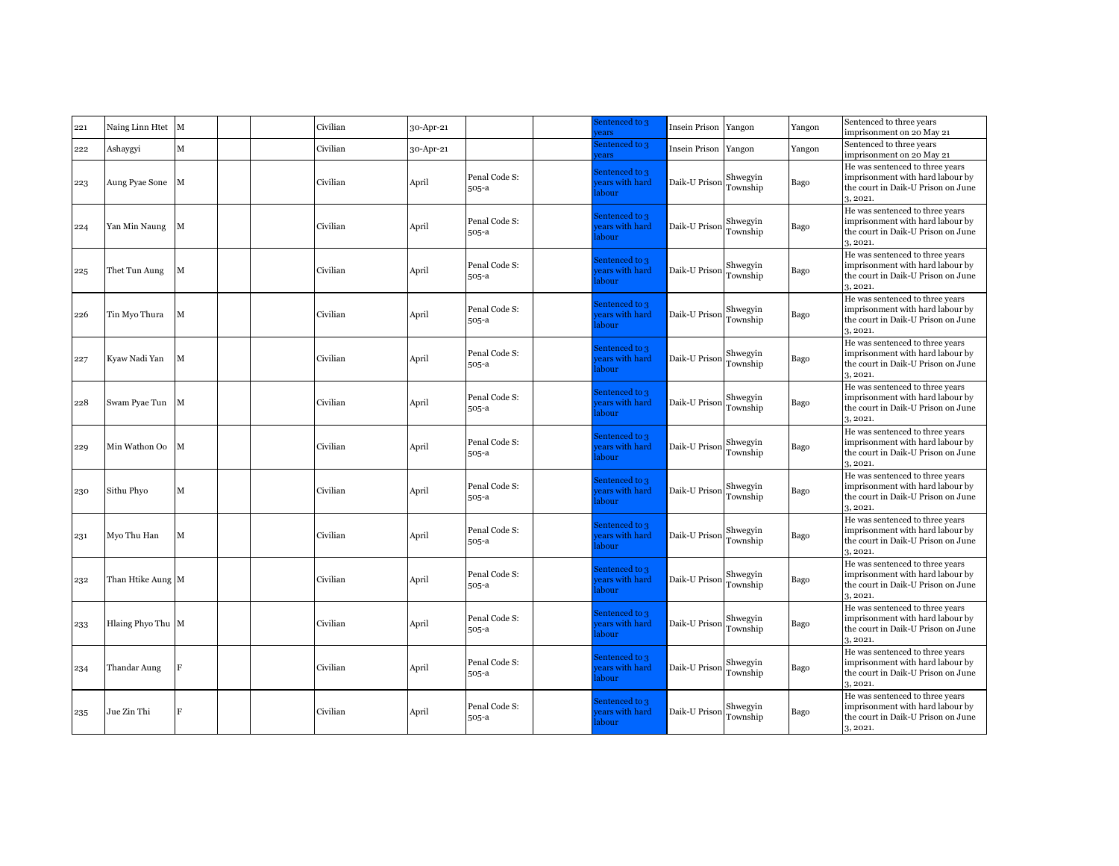| 221 | Naing Linn Htet M |   |  | Civilian | 30-Apr-21 |                        | Sentenced to 3<br>ears                     | Insein Prison | Yangon               | Yangon | Sentenced to three years<br>imprisonment on 20 May 21                                                                 |
|-----|-------------------|---|--|----------|-----------|------------------------|--------------------------------------------|---------------|----------------------|--------|-----------------------------------------------------------------------------------------------------------------------|
| 222 | Ashaygyi          | M |  | Civilian | 30-Apr-21 |                        | entenced to 3<br>ears                      | Insein Prison | Yangon               | Yangon | Sentenced to three years<br>imprisonment on 20 May 21                                                                 |
| 223 | Aung Pyae Sone    | М |  | Civilian | April     | Penal Code S:<br>505-a | Sentenced to 3<br>ears with hard<br>abour  | Daik-U Prisor | Shwegyin<br>Township | Bago   | He was sentenced to three years<br>imprisonment with hard labour by<br>the court in Daik-U Prison on June<br>3, 2021. |
| 224 | Yan Min Naung     | М |  | Civilian | April     | Penal Code S:<br>505-a | Sentenced to 3<br>ears with hard<br>abour  | Daik-U Prisor | Shwegyin<br>Township | Bago   | He was sentenced to three years<br>imprisonment with hard labour by<br>the court in Daik-U Prison on June<br>3, 2021. |
| 225 | Thet Tun Aung     | M |  | Civilian | April     | Penal Code S:<br>505-a | Sentenced to 3<br>ears with hard<br>labour | Daik-U Prisor | Shwegyin<br>Township | Bago   | He was sentenced to three years<br>imprisonment with hard labour by<br>the court in Daik-U Prison on June<br>3, 2021. |
| 226 | Tin Myo Thura     | М |  | Civilian | April     | Penal Code S:<br>505-a | Sentenced to 3<br>ears with hard<br>abour  | Daik-U Prisor | Shwegyin<br>Township | Bago   | He was sentenced to three years<br>imprisonment with hard labour by<br>the court in Daik-U Prison on June<br>3, 2021. |
| 227 | Kyaw Nadi Yan     | М |  | Civilian | April     | Penal Code S:<br>505-a | Sentenced to 3<br>ears with hard<br>abour  | Daik-U Prisor | Shwegyin<br>Township | Bago   | He was sentenced to three years<br>imprisonment with hard labour by<br>the court in Daik-U Prison on June<br>3, 2021. |
| 228 | Swam Pyae Tun     | М |  | Civilian | April     | Penal Code S:<br>505-a | Sentenced to 3<br>ears with hard<br>abour  | Daik-U Prisor | Shwegyin<br>Township | Bago   | He was sentenced to three years<br>imprisonment with hard labour by<br>the court in Daik-U Prison on June<br>3, 2021. |
| 229 | Min Wathon Oo     | M |  | Civilian | April     | Penal Code S:<br>505-a | Sentenced to 3<br>ears with hard<br>abour  | Daik-U Prison | Shwegyin<br>Township | Bago   | He was sentenced to three years<br>imprisonment with hard labour by<br>the court in Daik-U Prison on June<br>3, 2021. |
| 230 | Sithu Phyo        | М |  | Civilian | April     | Penal Code S:<br>505-a | Sentenced to 3<br>ears with hard<br>abour  | Daik-U Prisor | Shwegyin<br>Township | Bago   | He was sentenced to three years<br>imprisonment with hard labour by<br>the court in Daik-U Prison on June<br>3, 2021. |
| 231 | Myo Thu Han       | М |  | Civilian | April     | Penal Code S:<br>505-a | Sentenced to 3<br>ears with hard<br>labour | Daik-U Prisor | Shwegyin<br>Township | Bago   | He was sentenced to three years<br>imprisonment with hard labour by<br>the court in Daik-U Prison on June<br>3, 2021. |
| 232 | Than Htike Aung M |   |  | Civilian | April     | Penal Code S:<br>505-a | Sentenced to 3<br>ears with hard<br>abour  | Daik-U Prisor | Shwegyin<br>Township | Bago   | He was sentenced to three years<br>imprisonment with hard labour by<br>the court in Daik-U Prison on June<br>3, 2021. |
| 233 | Hlaing Phyo Thu M |   |  | Civilian | April     | Penal Code S:<br>505-a | Sentenced to 3<br>ears with hard<br>abour  | Daik-U Prisor | Shwegyin<br>Township | Bago   | He was sentenced to three years<br>imprisonment with hard labour by<br>the court in Daik-U Prison on June<br>3, 2021. |
| 234 | Thandar Aung      |   |  | Civilian | April     | Penal Code S:<br>505-a | Sentenced to 3<br>ears with hard<br>labour | Daik-U Prisor | Shwegyin<br>Township | Bago   | He was sentenced to three years<br>imprisonment with hard labour by<br>the court in Daik-U Prison on June<br>3, 2021. |
| 235 | Jue Zin Thi       | F |  | Civilian | April     | Penal Code S:<br>505-a | Sentenced to 3<br>ears with hard<br>labour | Daik-U Prisor | Shwegyin<br>Township | Bago   | He was sentenced to three years<br>imprisonment with hard labour by<br>the court in Daik-U Prison on June<br>3, 2021. |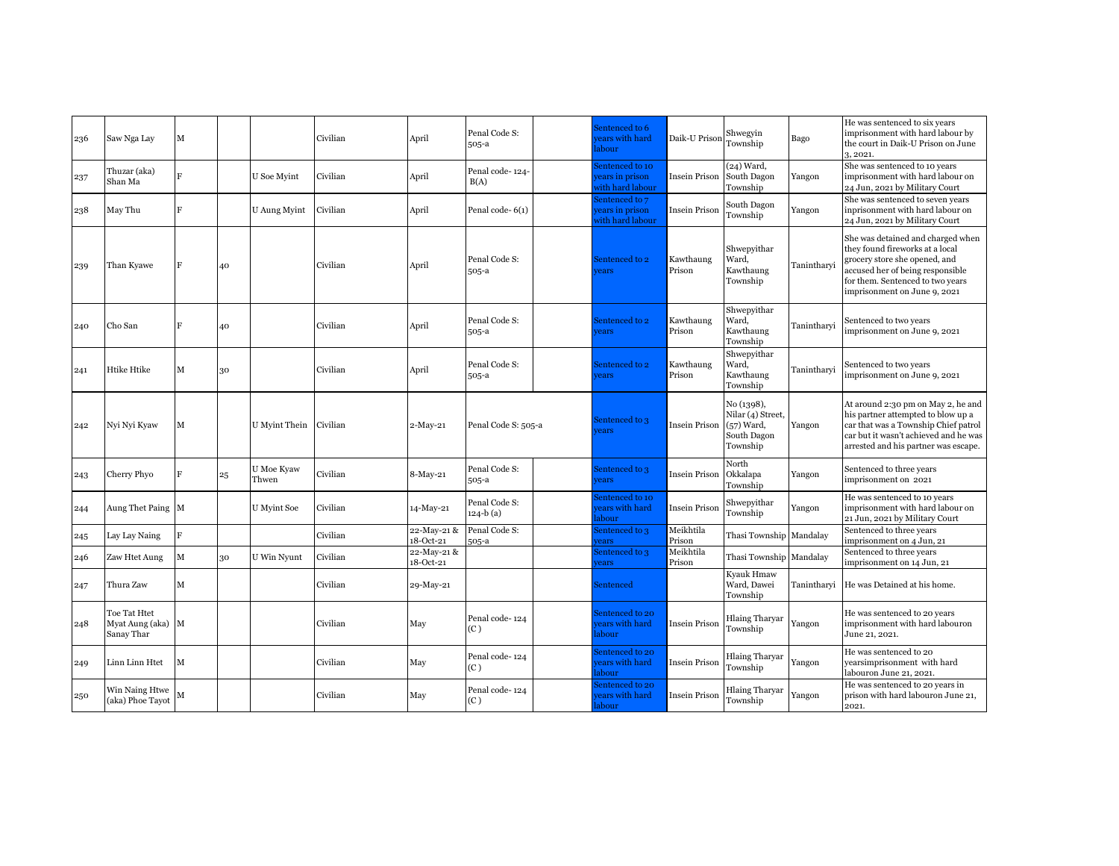| 236 | Saw Nga Lay                                     | М           |    |                        | Civilian | April                    | Penal Code S:<br>505-a      | Sentenced to 6<br>ears with hard<br>labour           | Daik-U Prisor        | Shwegyin<br>Township                                                     | Bago        | He was sentenced to six years<br>imprisonment with hard labour by<br>the court in Daik-U Prison on June<br>3.2021.                                                                                            |
|-----|-------------------------------------------------|-------------|----|------------------------|----------|--------------------------|-----------------------------|------------------------------------------------------|----------------------|--------------------------------------------------------------------------|-------------|---------------------------------------------------------------------------------------------------------------------------------------------------------------------------------------------------------------|
| 237 | Thuzar (aka)<br>Shan Ma                         |             |    | U Soe Myint            | Civilian | April                    | Penal code-124-<br>B(A)     | entenced to 10<br>ears in prison<br>vith hard labour | Insein Prison        | (24) Ward,<br>South Dagon<br>Township                                    | Yangon      | She was sentenced to 10 years<br>imprisonment with hard labour on<br>24 Jun, 2021 by Military Court                                                                                                           |
| 238 | May Thu                                         | F           |    | U Aung Myint           | Civilian | April                    | Penal code- $6(1)$          | entenced to 7<br>ears in prison<br>vith hard labour  | Insein Prison        | South Dagon<br>Township                                                  | Yangon      | She was sentenced to seven years<br>inprisonment with hard labour on<br>24 Jun, 2021 by Military Court                                                                                                        |
| 239 | Than Kyawe                                      | ΙF          | 40 |                        | Civilian | April                    | Penal Code S:<br>505-a      | Sentenced to 2<br>ears                               | Kawthaung<br>Prison  | Shwepyithar<br>Ward,<br>Kawthaung<br>Township                            | Taninthary  | She was detained and charged when<br>they found fireworks at a local<br>grocery store she opened, and<br>accused her of being responsible<br>for them. Sentenced to two years<br>imprisonment on June 9, 2021 |
| 240 | Cho San                                         | E           | 40 |                        | Civilian | April                    | Penal Code S:<br>505-a      | Sentenced to 2<br><b>rears</b>                       | Kawthaung<br>Prison  | Shwepyithar<br>Ward,<br>Kawthaung<br>Township                            | Tanintharvi | Sentenced to two years<br>imprisonment on June 9, 2021                                                                                                                                                        |
| 241 | Htike Htike                                     | M           | 30 |                        | Civilian | April                    | Penal Code S:<br>505-a      | Sentenced to 2<br>ears                               | Kawthaung<br>Prison  | Shwepyithar<br>Ward,<br>Kawthaung<br>Township                            | Tanintharvi | Sentenced to two years<br>imprisonment on June 9, 2021                                                                                                                                                        |
| 242 | Nyi Nyi Kyaw                                    | M           |    | U Myint Thein Civilian |          | 2-May-21                 | Penal Code S: 505-a         | Sentenced to 3<br>ears                               | <b>Insein Prison</b> | No (1398),<br>Nilar (4) Street,<br>(57) Ward,<br>South Dagon<br>Township | Yangon      | At around 2:30 pm on May 2, he and<br>his partner attempted to blow up a<br>car that was a Township Chief patrol<br>car but it wasn't achieved and he was<br>arrested and his partner was escape.             |
| 243 | Cherry Phyo                                     | F           | 25 | U Moe Kyaw<br>Thwen    | Civilian | 8-May-21                 | Penal Code S:<br>$505 - a$  | Sentenced to 3<br>ears                               | Insein Prison        | North<br>Okkalapa<br>Township                                            | Yangon      | Sentenced to three years<br>imprisonment on 2021                                                                                                                                                              |
| 244 | Aung Thet Paing M                               |             |    | U Myint Soe            | Civilian | 14-May-21                | Penal Code S:<br>$124-b(a)$ | Sentenced to 10<br>ears with hard<br>abour           | <b>Insein Prison</b> | Shwepyithar<br>Township                                                  | Yangon      | He was sentenced to 10 years<br>imprisonment with hard labour on<br>21 Jun, 2021 by Military Court                                                                                                            |
| 245 | Lay Lay Naing                                   | F           |    |                        | Civilian | 22-May-21 &<br>18-Oct-21 | Penal Code S:<br>505-a      | entenced to 3<br>ears                                | Meikhtila<br>Prison  | Thasi Township Mandalay                                                  |             | Sentenced to three years<br>imprisonment on 4 Jun, 21                                                                                                                                                         |
| 246 | Zaw Htet Aung                                   | $\mathbf M$ | 30 | U Win Nyunt            | Civilian | 22-May-21 &<br>18-Oct-21 |                             | Sentenced to 3<br>ears                               | Meikhtila<br>Prison  | Thasi Township                                                           | Mandalay    | Sentenced to three years<br>imprisonment on 14 Jun, 21                                                                                                                                                        |
| 247 | Thura Zaw                                       | M           |    |                        | Civilian | 29-May-21                |                             | Sentenced                                            |                      | Kyauk Hmaw<br>Ward, Dawei<br>Township                                    | Tanintharvi | He was Detained at his home.                                                                                                                                                                                  |
| 248 | Toe Tat Htet<br>Myat Aung (aka) M<br>Sanay Thar |             |    |                        | Civilian | May                      | Penal code-124<br>(C)       | Sentenced to 20<br>ears with hard<br>abour           | Insein Prison        | Hlaing Tharyar<br>Township                                               | Yangon      | He was sentenced to 20 years<br>imprisonment with hard labouron<br>June 21, 2021.                                                                                                                             |
| 249 | Linn Linn Htet                                  | M           |    |                        | Civilian | May                      | Penal code-124<br>(C)       | entenced to 20<br>ears with hard<br>abour            | Insein Prison        | Hlaing Tharyar<br>Township                                               | Yangon      | He was sentenced to 20<br>vearsimprisonment with hard<br>labouron June 21, 2021.                                                                                                                              |
| 250 | Win Naing Htwe<br>(aka) Phoe Tayot              |             |    |                        | Civilian | May                      | Penal code-124<br>(C)       | entenced to 20<br>ears with hard<br>labour           | Insein Prison        | Hlaing Tharyar<br>Township                                               | Yangon      | He was sentenced to 20 years in<br>prison with hard labouron June 21,<br>2021.                                                                                                                                |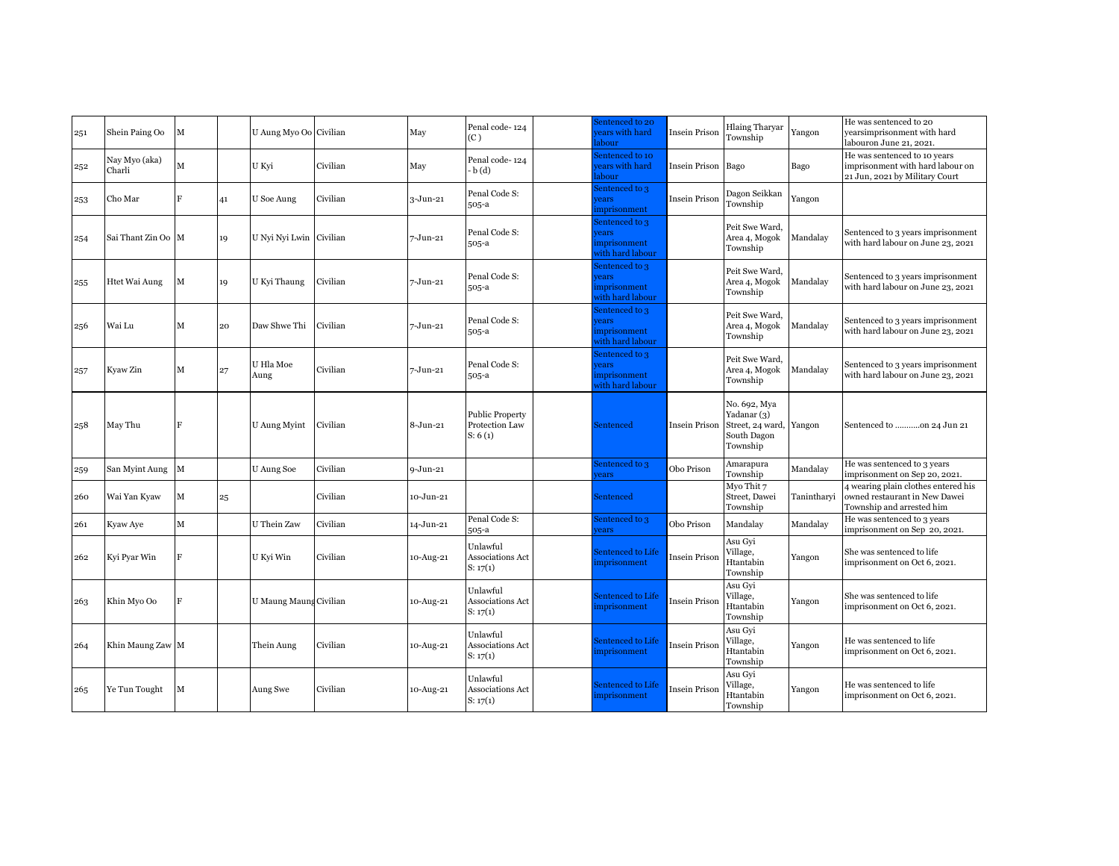| 251 | Shein Paing Oo          | M           |    | U Aung Myo Oo Civilian  |          | May          | Penal code-124<br>(C)                               | Sentenced to 20<br>ears with hard<br>abour                         | Insein Prison | <b>Hlaing Tharyar</b><br>Township                                                 | Yangon     | He was sentenced to 20<br>vearsimprisonment with hard<br>labouron June 21, 2021.                   |
|-----|-------------------------|-------------|----|-------------------------|----------|--------------|-----------------------------------------------------|--------------------------------------------------------------------|---------------|-----------------------------------------------------------------------------------|------------|----------------------------------------------------------------------------------------------------|
| 252 | Nay Myo (aka)<br>Charli | M           |    | U Kyi                   | Civilian | May          | Penal code-124<br>- b (d)                           | entenced to 10<br>ears with hard<br>abour                          | Insein Prison | Bago                                                                              | Bago       | He was sentenced to 10 years<br>imprisonment with hard labour on<br>21 Jun, 2021 by Military Court |
| 253 | Cho Mar                 | F           | 41 | U Soe Aung              | Civilian | $3 - Jun-21$ | Penal Code S:<br>505-a                              | Sentenced to 3<br>ears<br>mprisonment                              | Insein Prison | Dagon Seikkan<br>Township                                                         | Yangon     |                                                                                                    |
| 254 | Sai Thant Zin Oo M      |             | 19 | U Nyi Nyi Lwin Civilian |          | 7-Jun-21     | Penal Code S:<br>505-a                              | Sentenced to 3<br><b>rears</b><br>mprisonment<br>vith hard labour  |               | Peit Swe Ward,<br>Area 4, Mogok<br>Township                                       | Mandalay   | Sentenced to 3 years imprisonment<br>with hard labour on June 23, 2021                             |
| 255 | Htet Wai Aung           | $\mathbf M$ | 19 | U Kyi Thaung            | Civilian | 7-Jun-21     | Penal Code S:<br>505-a                              | entenced to 3<br>rears<br>imprisonment<br>vith hard labour         |               | Peit Swe Ward,<br>Area 4, Mogok<br>Township                                       | Mandalay   | Sentenced to 3 years imprisonment<br>with hard labour on June 23, 2021                             |
| 256 | Wai Lu                  | M           | 20 | Daw Shwe Thi            | Civilian | 7-Jun-21     | Penal Code S:<br>505-a                              | Sentenced to 3<br><b>rears</b><br>imprisonment<br>vith hard labour |               | Peit Swe Ward,<br>Area 4, Mogok<br>Township                                       | Mandalay   | Sentenced to 3 years imprisonment<br>with hard labour on June 23, 2021                             |
| 257 | Kyaw Zin                | М           | 27 | U Hla Moe<br>Aung       | Civilian | 7-Jun-21     | Penal Code S:<br>505-a                              | Sentenced to 3<br>rears<br>mprisonment<br>vith hard labour         |               | Peit Swe Ward,<br>Area 4, Mogok<br>Township                                       | Mandalay   | Sentenced to 3 years imprisonment<br>with hard labour on June 23, 2021                             |
| 258 | May Thu                 | F           |    | U Aung Myint            | Civilian | 8-Jun-21     | <b>Public Property</b><br>Protection Law<br>S: 6(1) | Sentenced                                                          | Insein Prison | No. 692, Mya<br>Yadanar (3)<br>Street, 24 ward, Yangon<br>South Dagon<br>Township |            | Sentenced to on 24 Jun 21                                                                          |
| 259 | San Myint Aung          | M           |    | U Aung Soe              | Civilian | $9 - Jun-21$ |                                                     | Sentenced to 3<br>ears                                             | Obo Prison    | Amarapura<br>Township                                                             | Mandalay   | He was sentenced to 3 years<br>imprisonment on Sep 20, 2021.                                       |
| 260 | Wai Yan Kyaw            | $\mathbf M$ | 25 |                         | Civilian | 10-Jun-21    |                                                     | Sentenced                                                          |               | Myo Thit 7<br>Street, Dawei<br>Township                                           | Taninthary | 4 wearing plain clothes entered his<br>owned restaurant in New Dawei<br>Township and arrested him  |
| 261 | Kyaw Aye                | M           |    | U Thein Zaw             | Civilian | 14-Jun-21    | Penal Code S:<br>505-a                              | Sentenced to 3<br>ears                                             | Obo Prison    | Mandalay                                                                          | Mandalay   | He was sentenced to 3 years<br>imprisonment on Sep 20, 2021.                                       |
| 262 | Kyi Pyar Win            | F           |    | U Kyi Win               | Civilian | 10-Aug-21    | Unlawful<br>Associations Act<br>S: 17(1)            | Sentenced to Life<br>mprisonment                                   | Insein Prison | Asu Gyi<br>Village,<br>Htantabin<br>Township                                      | Yangon     | She was sentenced to life<br>imprisonment on Oct 6, 2021.                                          |
| 263 | Khin Myo Oo             | F           |    | U Maung Maung Civilian  |          | 10-Aug-21    | Unlawful<br>Associations Act<br>S: 17(1)            | Sentenced to Life<br>mprisonment                                   | Insein Prison | Asu Gyi<br>Village,<br>Htantabin<br>Township                                      | Yangon     | She was sentenced to life<br>imprisonment on Oct 6, 2021.                                          |
| 264 | Khin Maung Zaw M        |             |    | Thein Aung              | Civilian | 10-Aug-21    | Unlawful<br>Associations Act<br>S: 17(1)            | Sentenced to Life<br>mprisonment                                   | Insein Prison | Asu Gyi<br>Village,<br>Htantabin<br>Township                                      | Yangon     | He was sentenced to life<br>imprisonment on Oct 6, 2021.                                           |
| 265 | Ye Tun Tought           | М           |    | Aung Swe                | Civilian | 10-Aug-21    | Unlawful<br>Associations Act<br>S: 17(1)            | Sentenced to Life<br>mprisonment                                   | Insein Prison | Asu Gyi<br>Village,<br>Htantabin<br>Township                                      | Yangon     | He was sentenced to life<br>imprisonment on Oct 6, 2021.                                           |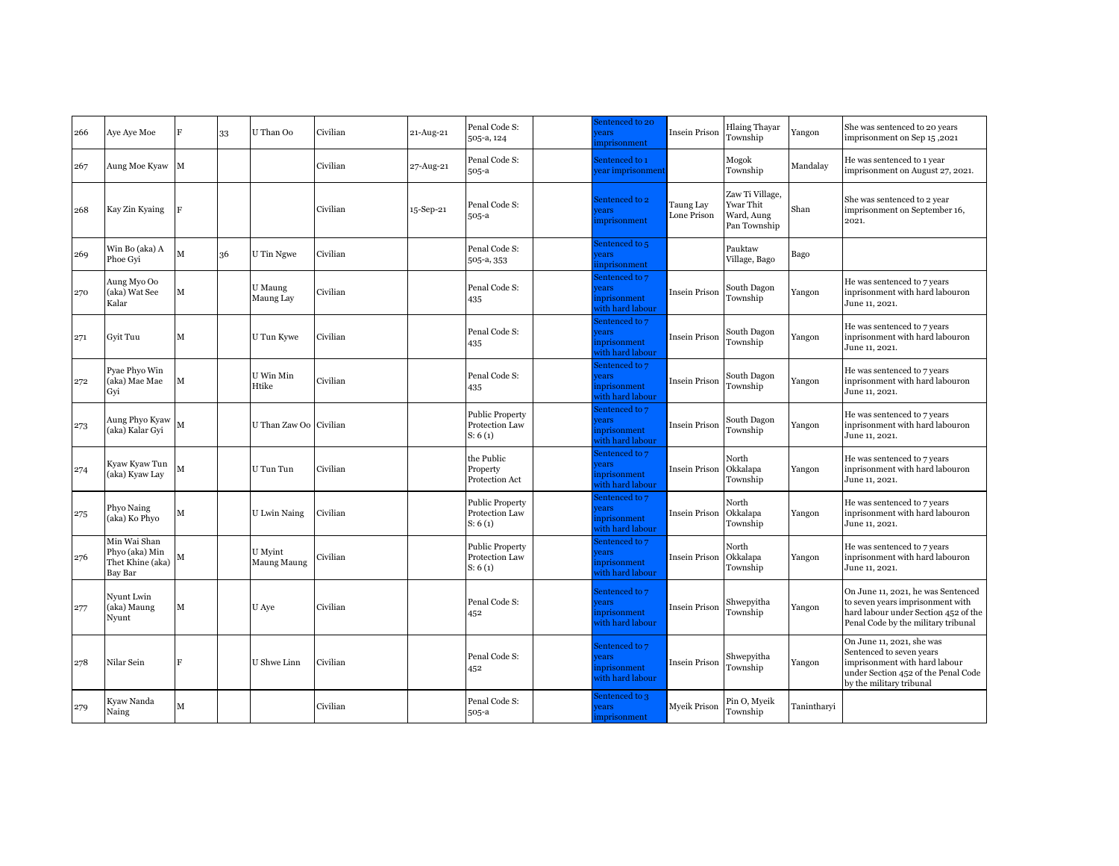| 266 | Aye Aye Moe                                                   | F | 33 | U Than Oo              | Civilian | 21-Aug-21 | Penal Code S:<br>505-a, 124                         | Sentenced to 20<br>ears<br>mprisonment                             | Insein Prison            | Hlaing Thayar<br>Township                                  | Yangon      | She was sentenced to 20 years<br>imprisonment on Sep 15, 2021                                                                                             |
|-----|---------------------------------------------------------------|---|----|------------------------|----------|-----------|-----------------------------------------------------|--------------------------------------------------------------------|--------------------------|------------------------------------------------------------|-------------|-----------------------------------------------------------------------------------------------------------------------------------------------------------|
| 267 | Aung Moe Kyaw M                                               |   |    |                        | Civilian | 27-Aug-21 | Penal Code S:<br>505-a                              | Sentenced to 1<br>ear imprisonment                                 |                          | Mogok<br>Township                                          | Mandalay    | He was sentenced to 1 year<br>imprisonment on August 27, 2021.                                                                                            |
| 268 | Kay Zin Kyaing                                                | F |    |                        | Civilian | 15-Sep-21 | Penal Code S:<br>505-a                              | Sentenced to 2<br>ears<br>mprisonment                              | Taung Lay<br>Lone Prison | Zaw Ti Village,<br>Ywar Thit<br>Ward, Aung<br>Pan Township | Shan        | She was sentenced to 2 year<br>imprisonment on September 16,<br>2021.                                                                                     |
| 269 | Win Bo (aka) A<br>Phoe Gvi                                    | M | 36 | U Tin Ngwe             | Civilian |           | Penal Code S:<br>505-a, 353                         | Sentenced to 5<br><b>rears</b><br>inprisonment                     |                          | Pauktaw<br>Village, Bago                                   | Bago        |                                                                                                                                                           |
| 270 | Aung Myo Oo<br>(aka) Wat See<br>Kalar                         | М |    | U Maung<br>Maung Lay   | Civilian |           | Penal Code S:<br>435                                | Sentenced to 7<br>rears<br>nprisonment<br>vith hard labour         | Insein Prison            | South Dagon<br>Township                                    | Yangon      | He was sentenced to 7 years<br>inprisonment with hard labouron<br>June 11, 2021.                                                                          |
| 271 | Gyit Tuu                                                      | М |    | U Tun Kywe             | Civilian |           | Penal Code S:<br>435                                | Sentenced to 7<br>ears<br>inprisonment<br>vith hard labour         | <b>Insein Prison</b>     | South Dagon<br>Township                                    | Yangon      | He was sentenced to 7 years<br>inprisonment with hard labouron<br>June 11, 2021.                                                                          |
| 272 | Pyae Phyo Win<br>(aka) Mae Mae<br>Gyi                         | М |    | U Win Min<br>Htike     | Civilian |           | Penal Code S:<br>435                                | Sentenced to 7<br><b>rears</b><br>inprisonment<br>vith hard labour | <b>Insein Prison</b>     | South Dagon<br>Township                                    | Yangon      | He was sentenced to 7 years<br>inprisonment with hard labouron<br>June 11, 2021.                                                                          |
| 273 | Aung Phyo Kyaw<br>(aka) Kalar Gyi                             | M |    | U Than Zaw Oo Civilian |          |           | <b>Public Property</b><br>Protection Law<br>S: 6(1) | Sentenced to 7<br>ears<br>nprisonment<br>vith hard labour          | Insein Prison            | South Dagon<br>Township                                    | Yangon      | He was sentenced to 7 years<br>inprisonment with hard labouron<br>June 11, 2021.                                                                          |
| 274 | Kyaw Kyaw Tun<br>(aka) Kyaw Lay                               | M |    | U Tun Tun              | Civilian |           | the Public<br>Property<br>Protection Act            | Sentenced to 7<br>ears<br>inprisonment<br>vith hard labour         | Insein Prison            | North<br>Okkalapa<br>Township                              | Yangon      | He was sentenced to 7 years<br>inprisonment with hard labouron<br>June 11, 2021.                                                                          |
| 275 | Phyo Naing<br>(aka) Ko Phyo                                   | M |    | <b>U</b> Lwin Naing    | Civilian |           | <b>Public Property</b><br>Protection Law<br>S: 6(1) | Sentenced to 7<br>rears<br>inprisonment<br>vith hard labour        | <b>Insein Prison</b>     | North<br>Okkalapa<br>Township                              | Yangon      | He was sentenced to 7 years<br>inprisonment with hard labouron<br>June 11, 2021.                                                                          |
| 276 | Min Wai Shan<br>Phyo (aka) Min<br>Thet Khine (aka)<br>Bay Bar | М |    | U Myint<br>Maung Maung | Civilian |           | <b>Public Property</b><br>Protection Law<br>S: 6(1) | entenced to 7<br><b>rears</b><br>inprisonment<br>vith hard labour  | Insein Prison            | North<br>Okkalapa<br>Township                              | Yangon      | He was sentenced to 7 years<br>inprisonment with hard labouron<br>June 11, 2021.                                                                          |
| 277 | Nyunt Lwin<br>(aka) Maung<br>Nyunt                            | М |    | U Aye                  | Civilian |           | Penal Code S:<br>452                                | Sentenced to 7<br><b>rears</b><br>inprisonment<br>vith hard labour | Insein Prison            | Shwepyitha<br>Township                                     | Yangon      | On June 11, 2021, he was Sentenced<br>to seven years imprisonment with<br>hard labour under Section 452 of the<br>Penal Code by the military tribunal     |
| 278 | Nilar Sein                                                    | F |    | U Shwe Linn            | Civilian |           | Penal Code S:<br>452                                | Sentenced to 7<br>ears<br>nprisonment<br>vith hard labour          | Insein Prison            | Shwepyitha<br>Township                                     | Yangon      | On June 11, 2021, she was<br>Sentenced to seven years<br>imprisonment with hard labour<br>under Section 452 of the Penal Code<br>by the military tribunal |
| 279 | Kyaw Nanda<br>Naing                                           | M |    |                        | Civilian |           | Penal Code S:<br>505-a                              | sentenced to 3<br>rears<br>imprisonment                            | <b>Myeik Prison</b>      | Pin O, Myeik<br>Township                                   | Tanintharyi |                                                                                                                                                           |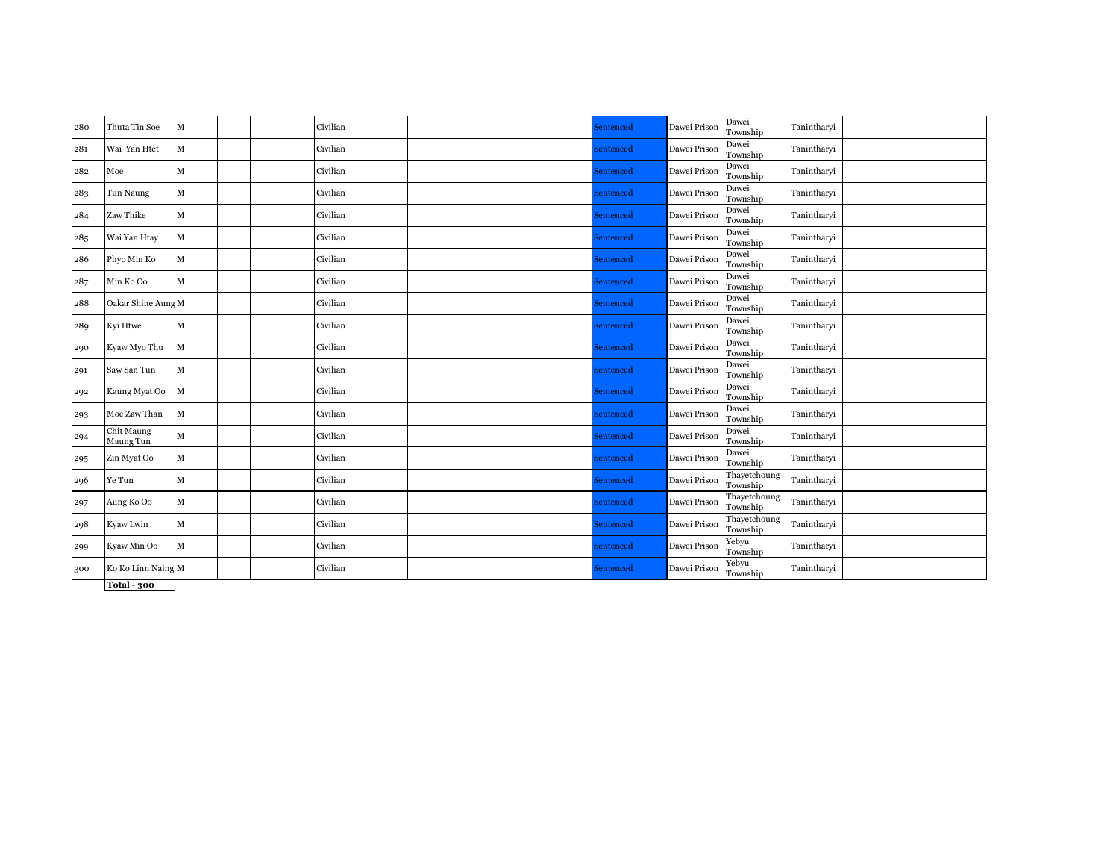| 280 | Thuta Tin Soe           | $\mathbf M$ |  | Civilian |  | Sentenced | Dawei Prison | Dawei<br>Township        | Tanintharyi |  |
|-----|-------------------------|-------------|--|----------|--|-----------|--------------|--------------------------|-------------|--|
| 281 | Wai Yan Htet            | $\mathbf M$ |  | Civilian |  | Sentenced | Dawei Prison | Dawei<br>Township        | Tanintharyi |  |
| 282 | Moe                     | $\mathbf M$ |  | Civilian |  | Sentenced | Dawei Prison | Dawei<br>Township        | Tanintharyi |  |
| 283 | Tun Naung               | $\mathbf M$ |  | Civilian |  | Sentenced | Dawei Prison | Dawei<br>Township        | Tanintharyi |  |
| 284 | Zaw Thike               | $\mathbf M$ |  | Civilian |  | Sentenced | Dawei Prison | Dawei<br>Township        | Tanintharyi |  |
| 285 | Wai Yan Htav            | $\mathbf M$ |  | Civilian |  | Sentenced | Dawei Prison | Dawei<br>Township        | Tanintharvi |  |
| 286 | Phyo Min Ko             | $\mathbf M$ |  | Civilian |  | Sentenced | Dawei Prison | Dawei<br>Township        | Tanintharyi |  |
| 287 | Min Ko Oo               | $\mathbf M$ |  | Civilian |  | Sentenced | Dawei Prison | Dawei<br>Township        | Tanintharyi |  |
| 288 | Oakar Shine Aung M      |             |  | Civilian |  | Sentenced | Dawei Prison | Dawei<br>Township        | Tanintharyi |  |
| 289 | Kyi Htwe                | $\mathbf M$ |  | Civilian |  | Sentenced | Dawei Prison | Dawei<br>Township        | Tanintharyi |  |
| 290 | Kyaw Myo Thu            | $\mathbf M$ |  | Civilian |  | Sentenced | Dawei Prison | Dawei<br>Township        | Tanintharyi |  |
| 291 | Saw San Tun             | $\mathbf M$ |  | Civilian |  | Sentenced | Dawei Prison | Dawei<br>Township        | Tanintharyi |  |
| 292 | Kaung Myat Oo           | $\mathbf M$ |  | Civilian |  | Sentenced | Dawei Prison | Dawei<br>Township        | Tanintharyi |  |
| 293 | Moe Zaw Than            | $\mathbf M$ |  | Civilian |  | Sentenced | Dawei Prison | Dawei<br>Township        | Tanintharyi |  |
| 294 | Chit Maung<br>Maung Tun | $\mathbf M$ |  | Civilian |  | Sentenced | Dawei Prison | Dawei<br>Township        | Tanintharyi |  |
| 295 | Zin Myat Oo             | $\mathbf M$ |  | Civilian |  | Sentenced | Dawei Prison | Dawei<br>Township        | Tanintharyi |  |
| 296 | Ye Tun                  | M           |  | Civilian |  | Sentenced | Dawei Prison | Thayetchoung<br>Township | Tanintharyi |  |
| 297 | Aung Ko Oo              | $\mathbf M$ |  | Civilian |  | Sentenced | Dawei Prison | Thayetchoung<br>Township | Tanintharyi |  |
| 298 | Kyaw Lwin               | $\mathbf M$ |  | Civilian |  | Sentenced | Dawei Prison | Thayetchoung<br>Township | Tanintharyi |  |
| 299 | Kyaw Min Oo             | $\mathbf M$ |  | Civilian |  | Sentenced | Dawei Prison | Yebyu<br>Township        | Tanintharyi |  |
| 300 | Ko Ko Linn Naing M      |             |  | Civilian |  | Sentenced | Dawei Prison | Yebyu<br>Township        | Tanintharyi |  |

**Total - 300**